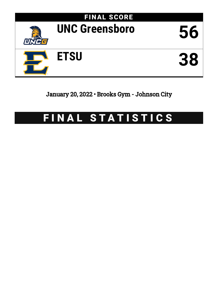

January 20, 2022 • Brooks Gym - Johnson City

# FINAL STATISTICS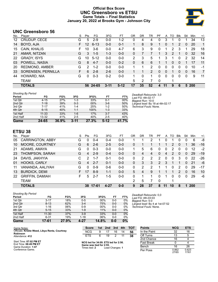# **Official Box Score UNC Greensboro vs ETSU Game Totals -- Final Statistics January 20, 2022 at Brooks Gym - Johnson City**



# **UNC Greensboro 56**

| No. | Plaver                | S  | <b>Pts</b> | FG.      | 3FG     | FТ      | OR | DR | TR             | PF       | A        | TO       | <b>B</b> lk | Stl      | Min   | $+/-$          |
|-----|-----------------------|----|------------|----------|---------|---------|----|----|----------------|----------|----------|----------|-------------|----------|-------|----------------|
| 12  | CRUDUP, CECE          | G  | 5          | $2-9$    | $0-0$   | $1 - 2$ | 0  | 4  | 4              | 0        | 3        |          |             |          | 34    | 13             |
| 14  | BOYD, AJA             | F. | 12         | $6 - 13$ | $0 - 0$ | $0 - 1$ |    | 8  | 9              | 1.       | 0        | 1        | 2           | 0        | 20    | 1              |
| 15  | CAIN, KHALIS          | F. | 10         | $3-6$    | $0 - 0$ | $4 - 7$ | 6  | 3  | 9              | 0        |          | 2        | 3           |          | 29    | 18             |
| 21  | AMAR, NITZAN          | G  | 3          | $1 - 5$  | $1 - 3$ | $0 - 0$ | 0  |    |                | 1        | 3        | 2        |             | $\Omega$ | 32    | 16             |
| 22  | <b>GRADY, ISYS</b>    | G  | 10         | $5 - 12$ | $0-0$   | $0-0$   | 2  | 3  | 5              |          | 3        | 1        | $\Omega$    | 2        | 32    | 14             |
| 03  | POWELL, NASIA         | G  | 8          | $4 - 7$  | $0 - 0$ | $0 - 2$ | 0  | 6  | 6              |          |          | 0        | 0           |          | 17    | -11            |
| 20  | <b>REDMOND, AMBER</b> | G  | 2          | $1 - 2$  | $0 - 0$ | $0-0$   |    |    | 2              | 0        | 0        | 0        | 0           | 0        | 10    | -1             |
| 33  | SORENSEN, PERNILLA    | F. | 6          | $2 - 8$  | $2 - 6$ | $0 - 0$ |    |    | $\overline{2}$ | 0        | 0        |          | $\Omega$    | $\Omega$ | 16    | $\overline{7}$ |
| 44  | HOWARD, NIA           | G  | $\Omega$   | $0 - 3$  | $0 - 2$ | $0 - 0$ |    | 0  | 1              | $\Omega$ | $\Omega$ | $\Omega$ | $\Omega$    | $\Omega$ | 9     | 11             |
|     | <b>TEAM</b>           |    |            |          |         |         | 5  | 2  |                | $\Omega$ |          |          |             |          |       |                |
|     | <b>TOTALS</b>         |    | 56         | -24-65   | 3-11    | $5-12$  | 17 | 35 | 52             | 4        | 11       | 9        | 6           |          | 5 200 |                |

| <b>Shooting By Period</b> |           |          |          |       |         |       |                                              |
|---------------------------|-----------|----------|----------|-------|---------|-------|----------------------------------------------|
| Period                    | FG        | FG%      | 3FG      | 3FG%  | FT      | FT%   | Deadball Rebounds: 3,0<br>Last FG: 4th-02:17 |
| 1st Qtr                   | $4 - 15$  | 27%      | $1 - 3$  | 33%   | $0 - 1$ | 00%   | Biggest Run: 10-0                            |
| 2nd Qtr                   | $7 - 18$  | 39%      | $0 - 3$  | 00%   | $3-6$   | 50%   | Largest lead: By 18 at 4th-02:17             |
| 3rd Qtr                   | $7 - 17$  | 41%      | $1 - 4$  | 25%   | 1-2     | 50%   | Technical Fouls: None.                       |
| 4th Qtr                   | $6 - 15$  | 40%      | $1 - 1$  | 100%  | $1 - 3$ | 33%   |                                              |
| 1st Half                  | $11 - 33$ | 33%      | $1 - 6$  | 17%   | $3 - 7$ | 43%   |                                              |
| 2nd Half                  | 13-32     | 41%      | $2 - 5$  | 40%   | $2 - 5$ | 40%   |                                              |
| <b>Game</b>               | 24-65     | $36.9\%$ | $3 - 11$ | 27.3% | $5-12$  | 41.7% |                                              |

# **ETSU 38**

| No. | Plaver                  | S  | Pts            | FG      | 3FG     | FТ      | ΟR | DR | TR | РF             | A  | TO | Blk | Stl      | Min | $+/-$ |
|-----|-------------------------|----|----------------|---------|---------|---------|----|----|----|----------------|----|----|-----|----------|-----|-------|
| 05  | <b>CARRINGTON, ABBY</b> | G  | 0              | 0-4     | $0 - 4$ | $0 - 0$ |    |    | 2  |                | 0  |    | 0   | 0        | 6   | -8    |
| 10  | MOORE, COURTNEY         | G  | 6              | $2 - 6$ | $2 - 5$ | $0 - 0$ | 0  |    |    |                |    | 2  | 0   |          | 36  | $-16$ |
| 21  | ADAMS, AMAYA            | G  | 0              | $0 - 3$ | $0 - 0$ | $0 - 0$ |    | 5  | 6  | 0              | 0  | 2  | 0   | 0        | 12  | $-2$  |
| 23  | THOMPSON, SARAH         | G  | 4              | $2 - 9$ | $0 - 4$ | $0 - 0$ | 0  | 4  | 4  | 0              | 4  | 2  | 0   | 0        | 29  | $-19$ |
| 24  | DAVIS, JAKHYIA          | C  | 2              | $1 - 7$ | $0 - 1$ | $0 - 0$ | 0  | 2  | 2  | 2              | 0  | 0  | 3   | 0        | 22  | $-26$ |
| 01  | HOOKS, CARLY            | G  | $\overline{4}$ | $2 - 7$ | $0 - 1$ | $0 - 0$ | 0  | 3  | 3  | $\overline{2}$ | 3  |    |     | $\Omega$ | 21  | -6    |
| 11  | VANANDA, AALIYAH        | G  | 0              | $0 - 9$ | $0 - 6$ | $0 - 0$ | 0  | 2  |    |                |    | 0  | 2   | 0        | 29  | $-17$ |
| 13  | <b>BURDICK, DEMI</b>    | F. | 17             | $8-9$   | $1 - 1$ | $0 - 0$ | 5. | 4  | 9  |                |    | 1  | 2   | $\Omega$ | 16  | 10    |
| 22  | <b>GRIFFIN, DAMIAH</b>  | F  | 5              | $2 - 7$ | $1 - 5$ | $0 - 0$ | 0  |    |    | ŋ              | 1  | 0  | 0   | 0        | 29  | -6    |
|     | <b>TEAM</b>             |    |                |         |         |         | 2  | 5  |    | $\Omega$       |    | и  |     |          |     |       |
|     | <b>TOTALS</b>           |    | 38             | $17-61$ | 4-27    | $0 - 0$ | 9  | 28 | 37 | 8              | 11 | 10 | 8   |          | 200 |       |

| Game                      | 17-61     | 27.9% | 4-27     | 14.8% | $0 - 0$ | $0\%$ |   |
|---------------------------|-----------|-------|----------|-------|---------|-------|---|
| 2nd Half                  | $6 - 31$  | 19%   | $1 - 18$ | 06%   | $0-0$   | 0%    |   |
| 1st Half                  | $11 - 30$ | 37%   | $3-9$    | 33%   | $0 - 0$ | $0\%$ |   |
| 4th Qtr                   | $5 - 15$  | 33%   | $1 - 9$  | 11%   | $0 - 0$ | $0\%$ |   |
| 3rd Qtr                   | $1 - 16$  | 06%   | $0 - 9$  | 00%   | $0 - 0$ | 0%    |   |
| 2nd Qtr                   | $8 - 13$  | 62%   | $3 - 4$  | 75%   | $0 - 0$ | $0\%$ |   |
| 1st Qtr                   | $3 - 17$  | 18%   | $0 - 5$  | 00%   | $0 - 0$ | $0\%$ | F |
| Period                    | FG        | FG%   | 3FG      | 3FG%  | FT.     | FT%   |   |
| <b>Shooting By Period</b> |           |       |          |       |         |       | E |

*Deadball Rebounds:* 0,0 *Last FG:* 4th-03:03 *Biggest Run:* 5-0 *Largest lead:* By 4 at 1st-07:52 *Technical Fouls:* None.

| Game Notes:                                                       | <b>Score</b>                             |   | 1st 2nd         | 3rd | 4th | <b>TOT</b> | <b>Points</b>     | <b>NCG</b>     | <b>ETS</b>     |
|-------------------------------------------------------------------|------------------------------------------|---|-----------------|-----|-----|------------|-------------------|----------------|----------------|
| Officials: Kristie Weed, Libya Rentz, Courtney<br><b>Robinson</b> | <b>NCG</b>                               | 9 |                 | 16  | 14  | 56         | In the Paint      | 32             | 16             |
| Attendance: 412                                                   | <b>ETS</b>                               | 6 | 19              |     |     | 38         | Off Turns         |                |                |
|                                                                   |                                          |   |                 |     |     |            | 2nd Chance        | 16             |                |
| Start Time: 07:02 PM ET<br>End Time: 08:49 PM ET                  | NCG led for 34:09. ETS led for 2:56.     |   |                 |     |     |            | <b>Fast Break</b> |                |                |
| Game Duration: 1:47                                               | Game was tied for 2:55.<br>Times tied: 2 |   | Lead Changes: 1 |     |     |            | Bench             | 16             | 26             |
| Conference Game:                                                  |                                          |   |                 |     |     |            | Per Poss          | 0.862<br>27/65 | 0.623<br>17/61 |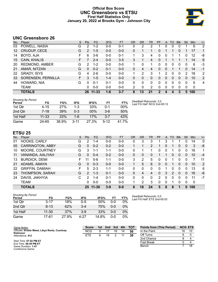# **Official Box Score UNC Greensboro vs ETSU First Half Statistics Only January 20, 2022 at Brooks Gym - Johnson City**



# **UNC Greensboro 26**

| No. | Plaver                | S  | <b>Pts</b> | <b>FG</b> | 3FG     | <b>FT</b> | <b>OR</b> | <b>DR</b> | TR | PF            | A            | TO       | <b>B</b> lk | Stl      | Min         | $+/-$          |
|-----|-----------------------|----|------------|-----------|---------|-----------|-----------|-----------|----|---------------|--------------|----------|-------------|----------|-------------|----------------|
| 03  | POWELL, NASIA         | G  | 2          | $1 - 2$   | $0 - 0$ | $0 - 1$   | 0         | 2         | 2  |               | 0            | 0        | 0           |          | 6           | $\overline{2}$ |
| 12  | CRUDUP, CECE          | G  | 2          | $1 - 5$   | $0 - 0$ | $0-0$     | 0         | 1         |    | 0             |              |          | 0           |          | 17          |                |
| 14  | BOYD, AJA             | F  | 6          | $3-6$     | $0 - 0$ | $0 - 1$   |           | 3         | 4  | 0             | 0            |          |             | 0        | 12          | -8             |
| 15  | CAIN, KHALIS          |    |            | $2 - 4$   | $0 - 0$ | $3 - 5$   | 3         |           | 4  | 0             |              |          |             |          | 14          | 6              |
| 20  | <b>REDMOND, AMBER</b> | G  | 2          | $1 - 2$   | $0 - 0$ | $0 - 0$   |           | 0         |    | 0             | 0            | 0        | 0           | 0        | 6           | -3             |
| 21  | AMAR, NITZAN          | G  | $\Omega$   | $0 - 2$   | $0 - 1$ | $0-0$     | 0         | 4         | 4  | 0             | 0            |          |             | $\Omega$ | 14          | -1             |
| 22  | <b>GRADY, ISYS</b>    | G  | 4          | $2-6$     | $0 - 0$ | $0 - 0$   |           | 2         | 3  |               | 2            | 0        | $\Omega$    | 2        | 18          | 2              |
| 33  | SORENSEN, PERNILLA    | F. | 3          | $1 - 5$   | $1 - 4$ | $0 - 0$   | 0         | 0         | 0  | 0             | $\mathbf{0}$ | $\Omega$ | $\Omega$    | 0        | 10          | 2              |
| 44  | HOWARD, NIA           | G  | 0          | $0 - 1$   | $0 - 1$ | $0 - 0$   | 0         | 0         | 0  | 0             | 0            | 0        | $\Omega$    | 0        | 5           | $\overline{4}$ |
|     | <b>TEAM</b>           |    | 0          | $0 - 0$   | $0 - 0$ | $0 - 0$   | 2         | 0         | 2  | 0             | 0            | 0        | $\Omega$    | 0        | $\mathbf 0$ |                |
|     | <b>TOTALS</b>         |    |            | 26 11-33  | $1 - 6$ | $3 - 7$   | 8         | 13        | 21 | $\mathcal{P}$ | 4            |          |             | 5.       | 100         |                |

| <b>Shooting By Period</b><br>Period | FG        | FG%        | 3FG      | 3FG%  | FT      | FT%   | Deadball Rebounds: 3,0<br>Last FG Half: NCG 2nd-00:12 |
|-------------------------------------|-----------|------------|----------|-------|---------|-------|-------------------------------------------------------|
| 1st Qtr                             | 4-15      | <b>27%</b> | 1-3      | 33%   | 0-1     | 00%   |                                                       |
| 2nd Qtr                             | 7-18      | 39%        | $0 - 3$  | 00%   | $3-6$   | 50%   |                                                       |
| 1st Half                            | $11 - 33$ | 33%        | 1-6      | 17%   | $3 - 7$ | 43%   |                                                       |
| Game                                | 24-65     | 36.9%      | $3 - 11$ | 27.3% | $5-12$  | 41.7% |                                                       |

# **ETSU 25**

| 01 | HOOKS, CARLY            | G  | 2             | $1 - 4$   | $0-0$   | $0-0$   | 0 | 3              | 3  |          | 3 |               |          | 0            | 14  | $\mathbf{0}$ |
|----|-------------------------|----|---------------|-----------|---------|---------|---|----------------|----|----------|---|---------------|----------|--------------|-----|--------------|
| 05 | <b>CARRINGTON, ABBY</b> | G  | 0             | $0 - 2$   | $0 - 2$ | $0 - 0$ |   |                | 2  |          | 0 |               | 0        | 0            | 3   | -6           |
| 10 | MOORE, COURTNEY         | G  | 3             | $1 - 1$   | 1-1     | $0 - 0$ | 0 |                |    | 0        | 0 |               | 0        | 0            | 16  | 1            |
| 11 | VANANDA, AALIYAH        | G  | 0             | $0 - 4$   | $0 - 2$ | $0 - 0$ | 0 | 0              | 0  |          |   | 0             | 0        | 0            | 10  | $-4$         |
| 13 | <b>BURDICK, DEMI</b>    | F. | 11            | $5-6$     | $1 - 1$ | $0 - 0$ | 3 | 2              | 5  | 0        | 0 |               | 0        | 0            | 7   | 11           |
| 21 | ADAMS, AMAYA            | G  | 0             | $0 - 3$   | $0 - 0$ | $0 - 0$ |   | 5              | 6  | $\Omega$ | 0 |               | 0        | $\mathbf{0}$ | 10  | 2            |
| 22 | <b>GRIFFIN, DAMIAH</b>  | F. | 5             | $2 - 3$   | $1 - 1$ | $0 - 0$ | 0 | 0              | 0  | 0        | 1 | 0             | 0        | 0            | 13  | 6            |
| 23 | THOMPSON, SARAH         | G  | $\mathcal{P}$ | $1 - 3$   | $0 - 1$ | $0 - 0$ | 0 | 4              | 4  | 0        | 3 | $\mathcal{P}$ | $\Omega$ | 0            | 16  | $-8$         |
| 24 | DAVIS, JAKHYIA          | C  | 2             | 1-4       | $0 - 1$ | $0 - 0$ | 0 | 0              | 0  | 2        | 0 | 0             | 0        | 0            | 11  | $-7$         |
|    | <b>TEAM</b>             |    | 0             | $0 - 0$   | $0 - 0$ | $0 - 0$ |   | $\overline{2}$ | 3  | 0        | 0 |               | 0        | 0            | 0   |              |
|    | <b>TOTALS</b>           |    | 25.           | $11 - 30$ | $3 - 9$ | $0 - 0$ | 6 | 18             | 24 | 5        | 8 | 8             |          | 0            | 100 |              |

| <b>Shooting By Period</b><br>Period | FG        | FG%   | 3FG     | 3FG%   | FT      | FT%   |
|-------------------------------------|-----------|-------|---------|--------|---------|-------|
| 1st Otr                             | $3 - 17$  | 18%   | $0 - 5$ | $00\%$ | 0-0     | 0%    |
| 2nd Qtr                             | $8 - 13$  | 62%   | $3 - 4$ | 75%    | $0 - 0$ | $0\%$ |
| 1st Half                            | $11 - 30$ | 37%   | $3-9$   | 33%    | $0 - 0$ | $0\%$ |
| Game                                | 17-61     | 27.9% | 4-27    | 14.8%  | ი-ი     | 0%    |

*Deadball Rebounds:* 0,0 *Last FG Half:* ETS 2nd-00:03

| Game Notes:                                                       | <b>Score</b> | 1st. | 2nd | 3rd | 4th | <b>TOT</b> | <b>Points from (This Period)</b> |    | <b>NCG ETS</b> |
|-------------------------------------------------------------------|--------------|------|-----|-----|-----|------------|----------------------------------|----|----------------|
| Officials: Kristie Weed, Libya Rentz, Courtney<br><b>Robinson</b> | <b>NCG</b>   |      |     | 16  | 14  | 56         | In the Paint                     | 16 | 10             |
| Attendance: 412                                                   | <b>ETS</b>   |      | 19  |     |     | 38         | Off Turns                        |    |                |
|                                                                   |              |      |     |     |     |            | 2nd Chance                       |    |                |
| Start Time: 07:02 PM ET<br>End Time: 08:49 PM ET                  |              |      |     |     |     |            | Fast Break                       |    |                |
| Game Duration: 1:47<br>Conference Game;                           |              |      |     |     |     |            | Bench                            |    | 18             |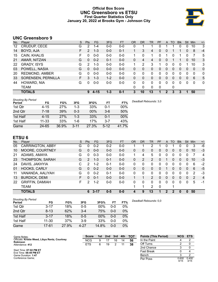# **Official Box Score UNC Greensboro vs ETSU First Quarter Statistics Only January 20, 2022 at Brooks Gym - Johnson City**



# **UNC Greensboro 9**

| No. | Plaver                | S  | Pts          | <b>FG</b> | 3FG     | <b>FT</b> | <b>OR</b> | <b>DR</b>    | TR | PF | A            | TO       | <b>Blk</b> | Stl      | Min | $+/-$        |
|-----|-----------------------|----|--------------|-----------|---------|-----------|-----------|--------------|----|----|--------------|----------|------------|----------|-----|--------------|
| 12  | CRUDUP, CECE          | G  | 2            | $1 - 4$   | $0 - 0$ | $0 - 0$   | 0         |              |    | 0  |              |          | 0          | 0        | 10  | 3            |
| 14  | BOYD, AJA             | F  | 2            | $1 - 3$   | $0-0$   | $0 - 1$   |           | 3            | 4  | 0  | $\mathbf{0}$ |          |            | 0        | 8   | $-4$         |
| 15  | CAIN, KHALIS          | F. | 0            | $0 - 0$   | $0 - 0$ | $0 - 0$   | 1.        | 0            | 1  | 0  |              | 0        | 1          | 0        | 7   | 5            |
| 21  | AMAR, NITZAN          | G  | 0            | $0 - 2$   | $0 - 1$ | $0-0$     | $\Omega$  | 4            | 4  | 0  | $\mathbf{0}$ |          |            | $\Omega$ | 10  | 3            |
| 22  | <b>GRADY, ISYS</b>    | G  | 2            | $1 - 3$   | $0-0$   | $0-0$     | 1         | 2            | 3  |    | 0            | 0        | 0          |          | 10  | 3            |
| 03  | POWELL, NASIA         | G  | <sup>0</sup> | $0 - 0$   | $0 - 0$ | $0 - 0$   | 0         | 0            | 0  | 0  | 0            | 0        | 0          | 0        | 0   | $\mathbf{0}$ |
| 20  | <b>REDMOND, AMBER</b> | G  | 0            | $0 - 0$   | $0-0$   | $0 - 0$   | 0         | 0            | 0  | 0  | 0            | 0        | 0          | 0        | 0   | 0            |
| 33  | SORENSEN, PERNILLA    | F. | 3            | $1 - 3$   | $1 - 2$ | $0 - 0$   | 0         | 0            | 0  | 0  | $\mathbf{0}$ | $\Omega$ | 0          | $\Omega$ | 6   | 5            |
| 44  | HOWARD, NIA           | G  | 0            | $0 - 0$   | $0-0$   | $0-0$     | 0         | 0            | 0  | 0  | 0            | $\Omega$ | 0          | 0        | 0   | $\mathbf{0}$ |
|     | TEAM                  |    |              |           |         |           | $\Omega$  | $\mathbf{0}$ | 0  | 0  |              | 0        |            |          |     |              |
|     | <b>TOTALS</b>         |    | 9            | $4 - 15$  | $1 - 3$ | $0 - 1$   | 3         | 10           | 13 | п  | 2            | 3        | 3          |          | 50  |              |

| <b>Shooting By Period</b><br>Period | FG        | FG%   | 3FG      | 3FG%   | FT       | FT%    | Deadball Rebounds: 3,0 |
|-------------------------------------|-----------|-------|----------|--------|----------|--------|------------------------|
| 1st Qtr                             | 4-15      | 27%   | 1-3      | 33%    | 0-1      | $00\%$ |                        |
| 2nd Qtr                             | $7 - 18$  | 39%   | $0 - 3$  | $00\%$ | $3-6$    | 50%    |                        |
| 1st Half                            | $4 - 15$  | 27%   | $1 - 3$  | 33%    | 0-1      | 00%    |                        |
| 1st Half                            | $11 - 33$ | 33%   | 1-6      | 17%    | 3-7      | 43%    |                        |
| Game                                | 24-65     | 36.9% | $3 - 11$ | 27.3%  | $5 - 12$ | 41 7%  |                        |

# **ETSU 6**

| No. | Plaver                  | S  | <b>Pts</b>     | FG       | 3FG     | <b>FT</b> | 0R | <b>DR</b> | TR             | PF | $\mathsf{A}$   | TO | <b>B</b> lk | Stl | Min | $+/-$          |
|-----|-------------------------|----|----------------|----------|---------|-----------|----|-----------|----------------|----|----------------|----|-------------|-----|-----|----------------|
| 05  | <b>CARRINGTON, ABBY</b> | G  | 0              | $0 - 2$  | $0 - 2$ | $0 - 0$   |    |           | っ              |    | 0              |    | 0           | 0   | 3   | -6             |
| 10  | MOORE, COURTNEY         | G  | $\Omega$       | $0 - 0$  | $0 - 0$ | $0-0$     | 0  | 0         | 0              | 0  | $\Omega$       | 0  | 0           | 0   | 10  | $-3$           |
| 21  | ADAMS, AMAYA            | G  | 0              | $0 - 3$  | $0 - 0$ | $0-0$     | 1  | 4         | 5              | 0  | 0              | ∩  | 0           | 0   |     | 4              |
| 23  | THOMPSON, SARAH         | G  | $\overline{2}$ | $1 - 3$  | $0 - 1$ | $0 - 0$   | 0  | 2         | $\overline{2}$ | 0  |                | 0  | 0           | 0   | 10  | $-3$           |
| 24  | DAVIS, JAKHYIA          | C  | 2              | $1 - 2$  | $0 - 1$ | $0-0$     | 0  | 0         | 0              | 0  | 0              |    |             | 0   | 6   | $-2$           |
| 01  | HOOKS, CARLY            | G  | 0              | $0 - 2$  | $0 - 0$ | $0 - 0$   | 0  | 0         | 0              | 0  |                | 0  | 0           | 0   | 6   | $-5$           |
| 11  | VANANDA, AALIYAH        | G  | 0              | $0 - 2$  | $0 - 1$ | $0 - 0$   | 0  | 0         | $\mathbf{0}$   | 0  | 0              | 0  | 0           | 0   | 2   | -3             |
| 13  | <b>BURDICK, DEMI</b>    | F  | 0              | $0 - 1$  | $0 - 0$ | $0 - 0$   |    |           | $\overline{2}$ | 0  | $\overline{0}$ | 0  | 0           | 0   | 2   | $\overline{4}$ |
| 22  | <b>GRIFFIN, DAMIAH</b>  | F. | 2              | $1 - 2$  | $0 - 0$ | $0 - 0$   | 0  | 0         | $\Omega$       | 0  | 0              | 0  | 0           | 0   | 5   | -1             |
|     | TEAM                    |    |                |          |         |           |    | 1         | 2              | 0  |                |    |             |     |     |                |
|     | <b>TOTALS</b>           |    | 6.             | $3 - 17$ | $0 - 5$ | $0 - 0$   | 4  | 9         | 13             | 1  | 2              | 2  | 0           | 0   | 50  |                |

| <b>Shooting By Period</b><br>Period | FG        | FG%   | 3FG     | 3FG%  | FT      | FT%   |
|-------------------------------------|-----------|-------|---------|-------|---------|-------|
| 1st Qtr                             | $3 - 17$  | 18%   | 0-5     | 00%   | $0 - 0$ | $0\%$ |
| 2nd Qtr                             | $8 - 13$  | 62%   | $3-4$   | 75%   | $0 - 0$ | 0%    |
| 1st Half                            | $3 - 17$  | 18%   | $0 - 5$ | 00%   | 0-0     | 0%    |
| 1st Half                            | $11 - 30$ | 37%   | $3-9$   | 33%   | $0 - 0$ | 0%    |
| Game                                | 17-61     | 27.9% | 4-27    | 14.8% | 0-0     | 0%    |

*Deadball Rebounds:* 0,0

| Game Notes:                                      | <b>Score</b> | 1st. | 2nd | 3rd | 4th | <b>TOT</b> | <b>Points (This Period)</b> | <b>NCG</b>    | <b>ETS</b>    |
|--------------------------------------------------|--------------|------|-----|-----|-----|------------|-----------------------------|---------------|---------------|
| Officials: Kristie Weed, Libya Rentz, Courtney   | <b>NCG</b>   |      |     | 16  | 14  | 56         | In the Paint                |               |               |
| Robinson<br>Attendance: 412                      | <b>ETS</b>   | 6    | 19  |     |     | 38         | Off Turns                   |               |               |
|                                                  |              |      |     |     |     |            | 2nd Chance                  |               |               |
| Start Time: 07:02 PM ET<br>End Time: 08:49 PM ET |              |      |     |     |     |            | <b>Fast Break</b>           |               |               |
| Game Duration: 1:47                              |              |      |     |     |     |            | Bench                       |               |               |
| Conference Game:                                 |              |      |     |     |     |            | Per Poss                    | 0.600<br>4/15 | 0.400<br>3/15 |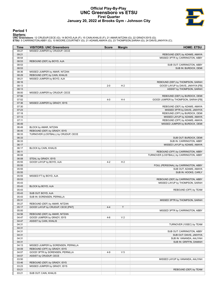# **Official Play-By-Play UNC Greensboro vs ETSU First Quarter January 20, 2022 at Brooks Gym - Johnson City**



# **Period 1**

<mark>Startersː</mark><br>UNC Greensboro: 12 CRUDUP,CECE (G); 14 BOYD,AJA (F); 15 CAIN,KHALIS (F); 21 AMAR,NITZAN (G); 22 GRADY,ISYS (G);<br>ETSU: 5 CARRINGTON,ABBY (G); 10 MOORE,COURTNEY (G); 21 ADAMS,AMAYA (G); 23 THOMPSON,SARAH (G); 24

| Time           | <b>VISITORS: UNC Greensboro</b>     | <b>Score</b> | <b>Margin</b>  | <b>HOME: ETSU</b>                                                    |
|----------------|-------------------------------------|--------------|----------------|----------------------------------------------------------------------|
| 09:27          | MISSED JUMPER by CRUDUP, CECE       |              |                |                                                                      |
| 09:21          |                                     |              |                | REBOUND (DEF) by ADAMS, AMAYA                                        |
| 08:54          |                                     |              |                | MISSED 3PTR by CARRINGTON, ABBY                                      |
| 08:53          | REBOUND (DEF) by BOYD, AJA          |              |                |                                                                      |
| 08:53          |                                     |              |                | SUB OUT: CARRINGTON, ABBY                                            |
| 08:53          |                                     |              |                | SUB IN: BURDICK, DEMI                                                |
| 08:36          | MISSED JUMPER by AMAR, NITZAN       |              |                |                                                                      |
| 08:29          | REBOUND (OFF) by CAIN, KHALIS       |              |                |                                                                      |
| 08:21          | MISSED JUMPER by BOYD, AJA          |              |                |                                                                      |
| 08:16          |                                     |              |                | REBOUND (DEF) by THOMPSON, SARAH                                     |
| 08:13          |                                     | $2 - 0$      | H <sub>2</sub> | GOOD! LAYUP by DAVIS, JAKHYIA [FB]                                   |
| 08:13          |                                     |              |                | ASSIST by THOMPSON, SARAH                                            |
| 08:00          | MISSED JUMPER by CRUDUP, CECE       |              |                |                                                                      |
| 07:56          |                                     |              |                | REBOUND (DEF) by BURDICK, DEMI                                       |
| 07:52          |                                     | $4 - 0$      | H4             | GOOD! JUMPER by THOMPSON, SARAH [FB]                                 |
| 07:36          | MISSED JUMPER by GRADY, ISYS        |              |                |                                                                      |
| 07:30          |                                     |              |                | REBOUND (DEF) by ADAMS, AMAYA                                        |
| 07:23          |                                     |              |                | MISSED 3PTR by DAVIS, JAKHYIA                                        |
| 07:18          |                                     |              |                | REBOUND (OFF) by BURDICK, DEMI                                       |
| 07:13          |                                     |              |                | MISSED LAYUP by ADAMS, AMAYA                                         |
| 07:11          |                                     |              |                | REBOUND (OFF) by ADAMS, AMAYA                                        |
| 06:49          |                                     |              |                | MISSED JUMPER by BURDICK, DEMI                                       |
| 06:49          | BLOCK by AMAR, NITZAN               |              |                |                                                                      |
| 06:45          | REBOUND (DEF) by GRADY, ISYS        |              |                |                                                                      |
| 06:33          | TURNOVER (LOSTBALL) by CRUDUP, CECE |              |                |                                                                      |
| 06:33          |                                     |              |                | SUB OUT: BURDICK, DEMI                                               |
| 06:33          |                                     |              |                | SUB IN: CARRINGTON, ABBY                                             |
| 06:17          |                                     |              |                | MISSED LAYUP by ADAMS, AMAYA                                         |
| 06:17          | BLOCK by CAIN, KHALIS               |              |                |                                                                      |
| 06:11          |                                     |              |                | REBOUND (OFF) by CARRINGTON, ABBY                                    |
| 06:08          |                                     |              |                | TURNOVER (LOSTBALL) by CARRINGTON, ABBY                              |
| 06:08          | STEAL by GRADY, ISYS                |              |                |                                                                      |
| 05:55          | GOOD! LAYUP by BOYD, AJA            | $4 - 2$      | H <sub>2</sub> |                                                                      |
| 05:55          |                                     |              |                | FOUL (PERSONAL) by CARRINGTON, ABBY                                  |
| 05:55          |                                     |              |                | SUB OUT: ADAMS, AMAYA                                                |
| 05:55          |                                     |              |                | SUB IN: HOOKS, CARLY                                                 |
| 05:55          | MISSED FT by BOYD, AJA              |              |                |                                                                      |
| 05:53          |                                     |              |                | REBOUND (DEF) by CARRINGTON, ABBY<br>MISSED LAYUP by THOMPSON, SARAH |
| 05:43          |                                     |              |                |                                                                      |
| 05:43<br>05:43 | BLOCK by BOYD, AJA                  |              |                | REBOUND (OFF) by TEAM                                                |
| 05:43          | SUB OUT: BOYD, AJA                  |              |                |                                                                      |
| 05:43          | SUB IN: SORENSEN, PERNILLA          |              |                |                                                                      |
| 05:31          |                                     |              |                | MISSED 3PTR by THOMPSON, SARAH                                       |
| 05:27          | REBOUND (DEF) by AMAR, NITZAN       |              |                |                                                                      |
| 05:17          | GOOD! LAYUP by CRUDUP, CECE [PNT]   | $4 - 4$      | T              |                                                                      |
| 05:00          |                                     |              |                | MISSED 3PTR by CARRINGTON, ABBY                                      |
| 04:56          | REBOUND (DEF) by AMAR, NITZAN       |              |                |                                                                      |
| 04:47          | GOOD! JUMPER by GRADY, ISYS         | $4-6$        | V <sub>2</sub> |                                                                      |
| 04:47          | ASSIST by CAIN, KHALIS              |              |                |                                                                      |
| 04:31          |                                     |              |                | TURNOVER (10SEC) by TEAM                                             |
| 04:31          |                                     |              |                |                                                                      |
| 04:31          |                                     |              |                | SUB OUT: CARRINGTON, ABBY                                            |
| 04:31          |                                     |              |                | SUB OUT: DAVIS, JAKHYIA                                              |
| 04:31          |                                     |              |                | SUB IN: VANANDA, AALIYAH                                             |
| 04:31          |                                     |              |                | SUB IN: GRIFFIN, DAMIAH                                              |
| 04:13          | MISSED JUMPER by SORENSEN, PERNILLA |              |                |                                                                      |
| 04:09          | REBOUND (OFF) by GRADY, ISYS        |              |                |                                                                      |
| 04:07          | GOOD! 3PTR by SORENSEN, PERNILLA    | $4 - 9$      | V <sub>5</sub> |                                                                      |
| 04:07          | ASSIST by CRUDUP, CECE              |              |                |                                                                      |
| 03:50          |                                     |              |                | MISSED LAYUP by VANANDA, AALIYAH                                     |
| 03:46          | REBOUND (DEF) by GRADY, ISYS        |              |                |                                                                      |
| 03:23          | MISSED JUMPER by GRADY, ISYS        |              |                |                                                                      |
| 03:21          |                                     |              |                | REBOUND (DEF) by TEAM                                                |
| 03:21          | SUB OUT: CAIN, KHALIS               |              |                |                                                                      |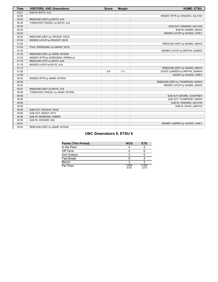| <b>Time</b> | <b>VISITORS: UNC Greensboro</b>   | <b>Score</b> | <b>Margin</b>  | <b>HOME: ETSU</b>                |
|-------------|-----------------------------------|--------------|----------------|----------------------------------|
| 03:21       | SUB IN: BOYD, AJA                 |              |                |                                  |
| 02:56       |                                   |              |                | MISSED 3PTR by VANANDA, AALIYAH  |
| 02:52       | REBOUND (DEF) by BOYD, AJA        |              |                |                                  |
| 02:39       | TURNOVER (TRAVEL) by BOYD, AJA    |              |                |                                  |
| 02:39       |                                   |              |                | SUB OUT: VANANDA, AALIYAH        |
| 02:39       |                                   |              |                | SUB IN: ADAMS, AMAYA             |
| 02:24       |                                   |              |                | MISSED LAYUP by HOOKS, CARLY     |
| 02:20       | REBOUND (DEF) by CRUDUP, CECE     |              |                |                                  |
| 01:55       | MISSED LAYUP by CRUDUP, CECE      |              |                |                                  |
| 01:54       |                                   |              |                | REBOUND (DEF) by ADAMS, AMAYA    |
| 01:54       | FOUL (PERSONAL) by GRADY, ISYS    |              |                |                                  |
| 01:35       |                                   |              |                | MISSED LAYUP by GRIFFIN, DAMIAH  |
| 01:32       | REBOUND (DEF) by AMAR, NITZAN     |              |                |                                  |
| 01:22       | MISSED 3PTR by SORENSEN, PERNILLA |              |                |                                  |
| 01:19       | REBOUND (OFF) by BOYD, AJA        |              |                |                                  |
| 01:18       | MISSED LAYUP by BOYD, AJA         |              |                |                                  |
| 01:15       |                                   |              |                | REBOUND (DEF) by ADAMS, AMAYA    |
| 01:08       |                                   | $6-9$        | V <sub>3</sub> | GOOD! JUMPER by GRIFFIN, DAMIAH  |
| 01:08       |                                   |              |                | ASSIST by HOOKS, CARLY           |
| 00:42       | MISSED 3PTR by AMAR, NITZAN       |              |                |                                  |
| 00:38       |                                   |              |                | REBOUND (DEF) by THOMPSON, SARAH |
| 00:30       |                                   |              |                | MISSED LAYUP by ADAMS, AMAYA     |
| 00:27       | REBOUND (DEF) by BOYD, AJA        |              |                |                                  |
| 00:08       | TURNOVER (TRAVEL) by AMAR, NITZAN |              |                |                                  |
| 00:08       |                                   |              |                | SUB OUT: MOORE, COURTNEY         |
| 00:08       |                                   |              |                | SUB OUT: THOMPSON, SARAH         |
| 00:08       |                                   |              |                | SUB IN: VANANDA, AALIYAH         |
| 00:08       |                                   |              |                | SUB IN: DAVIS, JAKHYIA           |
| 00:08       | SUB OUT: CRUDUP, CECE             |              |                |                                  |
| 00:08       | SUB OUT: GRADY, ISYS              |              |                |                                  |
| 00:08       | SUB IN: REDMOND, AMBER            |              |                |                                  |
| 00:08       | SUB IN: HOWARD, NIA               |              |                |                                  |
| 00:01       |                                   |              |                | MISSED JUMPER by HOOKS, CARLY    |
| 00:00       | REBOUND (DEF) by AMAR, NITZAN     |              |                |                                  |

# **UNC Greensboro 9, ETSU 6**

| <b>Points (This Period)</b> | <b>NCG</b>    | <b>ETS</b>    |
|-----------------------------|---------------|---------------|
| In the Paint                |               |               |
| Off Turns                   |               |               |
| 2nd Chance                  |               |               |
| <b>Fast Break</b>           |               |               |
| Bench                       |               |               |
| Per Poss                    | 0.600<br>4/15 | 0.400<br>3/15 |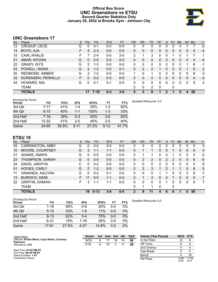# **Official Box Score UNC Greensboro vs ETSU Second Quarter Statistics Only January 20, 2022 at Brooks Gym - Johnson City**



# **UNC Greensboro 17**

| No. | Plaver                | S  | <b>Pts</b>    | <b>FG</b> | 3FG     | <b>FT</b> | <b>OR</b>    | <b>DR</b>      | TR | PF | A            | TO           | <b>Blk</b> | Stl            | Min | $+/-$ |
|-----|-----------------------|----|---------------|-----------|---------|-----------|--------------|----------------|----|----|--------------|--------------|------------|----------------|-----|-------|
| 12  | CRUDUP, CECE          | G  | 0             | $0 - 1$   | $0 - 0$ | $0-0$     | 0            | 0              | 0  | 0  | 0            | 0            | 0          |                |     | $-2$  |
| 14  | BOYD, AJA             | F  | 4             | $2 - 3$   | $0-0$   | $0-0$     | $\mathbf{0}$ | 0              | 0  | 0  | $\mathbf{0}$ | $\Omega$     | 0          | $\overline{0}$ | 4   | $-4$  |
| 15  | CAIN, KHALIS          | F. |               | $2 - 4$   | $0 - 0$ | $3 - 5$   | 2            |                | 3  | 0  | 0            |              | 0          |                |     | 1     |
| 21  | AMAR, NITZAN          | G  | 0             | $0 - 0$   | $0 - 0$ | $0-0$     | $\Omega$     | 0              | 0  | 0  | $\Omega$     | $\Omega$     | $\Omega$   | $\Omega$       | 4   | $-4$  |
| 22  | <b>GRADY, ISYS</b>    | G  | 2             | $1 - 3$   | $0-0$   | $0-0$     | 0            | 0              | 0  | 0  | 2            | <sup>0</sup> | $\Omega$   |                | 8   | $-1$  |
| 03  | POWELL, NASIA         | G  | 2             | $1 - 2$   | $0 - 0$ | $0 - 1$   | 0            | $\overline{2}$ | 2  |    | $\mathbf{0}$ | 0            | 0          |                | 6   | 2     |
| 20  | <b>REDMOND, AMBER</b> | G  | $\mathcal{P}$ | $1 - 2$   | $0 - 0$ | $0 - 0$   |              | 0              | 1  | 0  | 0            | 0            | 0          | 0              | 6   | -3    |
| 33  | SORENSEN, PERNILLA    | F  | 0             | $0 - 2$   | $0 - 2$ | $0 - 0$   | 0            | 0              | 0  | 0  | 0            | $\Omega$     | 0          | $\Omega$       | 4   | $-3$  |
| 44  | HOWARD, NIA           | G  | 0             | $0 - 1$   | $0 - 1$ | $0-0$     | 0            | 0              | 0  | 0  | 0            | $\Omega$     | 0          | 0              | 5   | 4     |
|     | TEAM                  |    |               |           |         |           | 2            | $\mathbf{0}$   | 2  | 0  |              | 0            |            |                |     |       |
|     | <b>TOTALS</b>         |    | 17            | $7 - 18$  | $0 - 3$ | $3 - 6$   | 5            | 3              | 8  |    | 2            |              | 0          | 4              | 50  |       |

| <b>Shooting By Period</b><br>Period | FG        | FG%   | 3FG      | 3FG%  | FТ      | FT%   | Deadball Rebounds: 3,0 |
|-------------------------------------|-----------|-------|----------|-------|---------|-------|------------------------|
| 3rd Qtr                             | 7-17      | 41%   | $1 - 4$  | 25%   | 1-2     | 50%   |                        |
| 4th Qtr                             | $6 - 15$  | 40%   | $1 - 1$  | 100%  | 1-3     | 33%   |                        |
| 2nd Half                            | $7 - 18$  | 39%   | $0 - 3$  | 00%   | $3-6$   | 50%   |                        |
| 2nd Half                            | $13 - 32$ | 41%   | $2 - 5$  | 40%   | $2 - 5$ | 40%   |                        |
| Game                                | 24-65     | 36.9% | $3 - 11$ | 27.3% | $5-12$  | 41.7% |                        |

# **ETSU 19**

| No. | Plaver                  | S  | <b>Pts</b>     | <b>FG</b> | 3FG     | <b>FT</b> | 0R           | DR | TR       | <b>PF</b> | A | TO | <b>B</b> lk | Stl          | Min | $+/-$          |
|-----|-------------------------|----|----------------|-----------|---------|-----------|--------------|----|----------|-----------|---|----|-------------|--------------|-----|----------------|
| 05  | <b>CARRINGTON, ABBY</b> | G  | O              | $0 - 0$   | $0-0$   | $0-0$     | 0            | 0  | 0        | 0         | 0 |    | 0           | 0            | 0   | 0              |
| 10  | MOORE, COURTNEY         | G  | 3              | 1-1       | $1 - 1$ | $0-0$     | $\Omega$     |    | 1        | 0         | 0 |    | 0           | 0            | 6   | 4              |
| 21  | ADAMS, AMAYA            | G  | 0              | $0-0$     | $0-0$   | $0-0$     | 0            |    | 1        | 0         | 0 |    | 0           | 0            | 3   | $-2$           |
| 23  | THOMPSON, SARAH         | G  | 0              | $0 - 0$   | $0 - 0$ | $0-0$     | 0            | 2  | 2        | 0         | 2 | 2  | 0           | 0            | 6   | $-5$           |
| 24  | DAVIS, JAKHYIA          | С  | 0              | $0 - 2$   | $0 - 0$ | $0-0$     | 0            | 0  | 0        | 2         | 0 | 0  | 0           | 0            | 5   | -5             |
| 01  | HOOKS, CARLY            | G  | $\overline{2}$ | $1 - 2$   | $0 - 0$ | $0-0$     | $\mathbf{0}$ | 3  | 3        |           | 2 |    |             | $\mathbf{0}$ | 8   | 5              |
| 11  | VANANDA, AALIYAH        | G  | 0              | $0 - 2$   | $0 - 1$ | $0-0$     | $\Omega$     | 0  | 0        |           |   | 0  | 0           | 0            | 8   | -1             |
| 13  | <b>BURDICK, DEMI</b>    | F. | 11             | $5 - 5$   | $1 - 1$ | $0 - 0$   | 2            |    | 3        | 0         | 0 |    | 0           | $\Omega$     | 5   | $\overline{7}$ |
| 22  | <b>GRIFFIN, DAMIAH</b>  | F. | 3              | $1 - 1$   | $1 - 1$ | $0 - 0$   | 0            | 0  | $\Omega$ | 0         |   | 0  | 0           | 0            | 8   | 7              |
|     | TEAM                    |    |                |           |         |           | 0            |    | 1        | 0         |   | 0  |             |              |     |                |
|     | <b>TOTALS</b>           |    | 19             | $8 - 13$  | $3 - 4$ | $0 - 0$   | 2            | 9  | 11       | 4         | 6 | 6  | 1           | $\Omega$     | 50  |                |

| <b>Shooting By Period</b> |           |       |          |       |         |       | Dea |
|---------------------------|-----------|-------|----------|-------|---------|-------|-----|
| Period                    | FG        | FG%   | 3FG      | 3FG%  | FT      | FT%   |     |
| 3rd Qtr                   | $1 - 16$  | 06%   | $0 - 9$  | 00%   | $0 - 0$ | 0%    |     |
| 4th Qtr                   | $5 - 15$  | 33%   | $1 - 9$  | 11%   | $0 - 0$ | $0\%$ |     |
| 2nd Half                  | $8 - 13$  | 62%   | $3 - 4$  | 75%   | $0 - 0$ | 0%    |     |
| 2nd Half                  | $6 - 31$  | 19%   | $1 - 18$ | 06%   | $0 - 0$ | 0%    |     |
| Game                      | $17 - 61$ | 27.9% | $4 - 27$ | 14.8% | $0 - 0$ | 0%    |     |

*Deadball Rebounds:* 0,0

| Game Notes:                                                       | <b>Score</b> | 1st | 2 <sub>nd</sub> | 3rd | 4th | <b>TOT</b> | <b>Points (This Period)</b> | <b>NCG</b>   | <b>ETS</b>    |
|-------------------------------------------------------------------|--------------|-----|-----------------|-----|-----|------------|-----------------------------|--------------|---------------|
| Officials: Kristie Weed, Libya Rentz, Courtney<br><b>Robinson</b> | <b>NCG</b>   | 9   |                 | 16  | 14  | 56         | In the Paint                | 12           |               |
| Attendance: 412                                                   | <b>ETS</b>   | 6   | 19              |     |     | 38         | Off Turns                   |              |               |
|                                                                   |              |     |                 |     |     |            | 2nd Chance                  |              |               |
| Start Time: 07:02 PM ET<br>End Time: 08:49 PM ET                  |              |     |                 |     |     |            | <b>Fast Break</b>           |              |               |
| Game Duration: 1:47                                               |              |     |                 |     |     |            | Bench                       |              | 16            |
| Conference Game:                                                  |              |     |                 |     |     |            | Per Poss                    | .063<br>9/16 | 1.118<br>8/17 |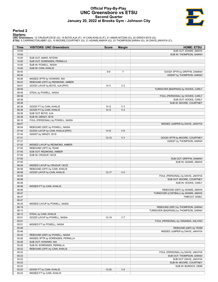# **Official Play-By-Play UNC Greensboro vs ETSU Second Quarter January 20, 2022 at Brooks Gym - Johnson City**



# **Period 2**

<mark>Startersː</mark><br>UNC Greensboro: 12 CRUDUP,CECE (G); 14 BOYD,AJA (F); 15 CAIN,KHALIS (F); 21 AMAR,NITZAN (G); 22 GRADY,ISYS (G);<br>ETSU: 5 CARRINGTON,ABBY (G); 10 MOORE,COURTNEY (G); 21 ADAMS,AMAYA (G); 23 THOMPSON,SARAH (G); 24

| <b>Time</b> | <b>VISITORS: UNC Greensboro</b>   | <b>Score</b> | <b>Margin</b>  | <b>HOME: ETSU</b>                     |
|-------------|-----------------------------------|--------------|----------------|---------------------------------------|
| 10:00       |                                   |              |                | SUB OUT: ADAMS, AMAYA                 |
| 10:00       |                                   |              |                | SUB IN: THOMPSON, SARAH               |
| 10:00       | SUB OUT: AMAR, NITZAN             |              |                |                                       |
| 10:00       | SUB OUT: SORENSEN, PERNILLA       |              |                |                                       |
| 10:00       | SUB IN: POWELL, NASIA             |              |                |                                       |
| 10:00       | SUB IN: CAIN, KHALIS              |              |                |                                       |
| 09:45       |                                   | $9-9$        | T              | GOOD! 3PTR by GRIFFIN, DAMIAH         |
| 09:45       |                                   |              |                | ASSIST by THOMPSON, SARAH             |
| 09:26       | MISSED 3PTR by HOWARD, NIA        |              |                |                                       |
| 09:23       | REBOUND (OFF) by REDMOND, AMBER   |              |                |                                       |
| 09:07       | GOOD! LAYUP by BOYD, AJA [PNT]    | $9 - 11$     | V <sub>2</sub> |                                       |
| 08:49       |                                   |              |                | TURNOVER (BADPASS) by HOOKS, CARLY    |
| 08:49       | STEAL by POWELL, NASIA            |              |                |                                       |
| 08:38       |                                   |              |                | FOUL (PERSONAL) by HOOKS, CARLY       |
| 08:38       |                                   |              |                | SUB OUT: HOOKS, CARLY                 |
| 08:38       |                                   |              |                | SUB IN: MOORE, COURTNEY               |
| 08:38       | GOOD! FT by CAIN, KHALIS          | $9 - 12$     | $V_3$          |                                       |
| 08:38       | GOOD! FT by CAIN, KHALIS          | $9 - 13$     | V <sub>4</sub> |                                       |
| 08:38       | SUB OUT: BOYD, AJA                |              |                |                                       |
| 08:38       | SUB IN: GRADY, ISYS               |              |                |                                       |
| 08:16       | FOUL (PERSONAL) by POWELL, NASIA  |              |                |                                       |
| 08:07       |                                   |              |                | MISSED JUMPER by DAVIS, JAKHYIA       |
| 08:04       | REBOUND (DEF) by POWELL, NASIA    |              |                |                                       |
| 07:44       | GOOD! LAYUP by CAIN, KHALIS [PNT] | $9 - 15$     | $V_6$          |                                       |
| 07:44       | ASSIST by GRADY, ISYS             |              |                |                                       |
| 07:31       |                                   | $12 - 15$    | V <sub>3</sub> | GOOD! 3PTR by MOORE, COURTNEY         |
| 07:31       |                                   |              |                | ASSIST by THOMPSON, SARAH             |
| 07:05       | MISSED LAYUP by REDMOND, AMBER    |              |                |                                       |
| 07:05       | REBOUND (OFF) by TEAM             |              |                |                                       |
| 07:05       | SUB OUT: REDMOND, AMBER           |              |                |                                       |
| 07:05       | SUB IN: CRUDUP, CECE              |              |                |                                       |
| 07:05       |                                   |              |                | SUB OUT: GRIFFIN, DAMIAH              |
| 07:05       |                                   |              |                | SUB IN: ADAMS, AMAYA                  |
| 06:59       | MISSED LAYUP by CRUDUP, CECE      |              |                |                                       |
| 06:58       | REBOUND (OFF) by CAIN, KHALIS     |              |                |                                       |
| 06:58       | GOOD! LAYUP by CAIN, KHALIS       | $12 - 17$    | V <sub>5</sub> |                                       |
| 06:58       |                                   |              |                | FOUL (PERSONAL) by DAVIS, JAKHYIA     |
| 06:58       |                                   |              |                | SUB OUT: MOORE, COURTNEY              |
| 06:58       |                                   |              |                | SUB IN: HOOKS, CARLY                  |
| 06:58       | MISSED FT by CAIN, KHALIS         |              |                |                                       |
| 06:56       |                                   |              |                | REBOUND (DEF) by ADAMS, AMAYA         |
| 06:47       |                                   |              |                | TURNOVER (LOSTBALL) by ADAMS, AMAYA   |
| 06:47       |                                   |              |                | TIMEOUT 30SEC                         |
| 06:47       |                                   |              |                |                                       |
| 06:25       | MISSED LAYUP by POWELL, NASIA     |              |                |                                       |
| 06:19       |                                   |              |                | REBOUND (DEF) by THOMPSON, SARAH      |
| 06:13       |                                   |              |                | TURNOVER (BADPASS) by THOMPSON, SARAH |
| 06:13       | STEAL by CAIN, KHALIS             |              |                |                                       |
| 05:51       | GOOD! LAYUP by POWELL, NASIA      | 12-19        | V <sub>7</sub> |                                       |
| 05:51       |                                   |              |                | FOUL (PERSONAL) by VANANDA, AALIYAH   |
| 05:51       | MISSED FT by POWELL, NASIA        |              |                |                                       |
| 05:48       |                                   |              |                | REBOUND (DEF) by TEAM                 |
| 05:46       |                                   |              |                | MISSED JUMPER by DAVIS, JAKHYIA       |
| 05:43       | REBOUND (DEF) by POWELL, NASIA    |              |                |                                       |
| 05:26       | MISSED 3PTR by SORENSEN, PERNILLA |              |                |                                       |
| 05:26       | SUB OUT: HOWARD, NIA              |              |                |                                       |
| 05:26       | SUB IN: SORENSEN, PERNILLA        |              |                |                                       |
| 05:23       | REBOUND (OFF) by CAIN, KHALIS     |              |                |                                       |
| 05:23       |                                   |              |                | FOUL (PERSONAL) by DAVIS, JAKHYIA     |
| 05:23       |                                   |              |                | SUB OUT: THOMPSON, SARAH              |
| 05:23       |                                   |              |                | SUB OUT: DAVIS, JAKHYIA               |
| 05:23       |                                   |              |                | SUB IN: MOORE, COURTNEY               |
| 05:23       |                                   |              |                | SUB IN: BURDICK, DEMI                 |
| 05:23       | GOOD! FT by CAIN, KHALIS          | $12 - 20$    | V 8            |                                       |
| 05:23       | MISSED FT by CAIN, KHALIS         |              |                |                                       |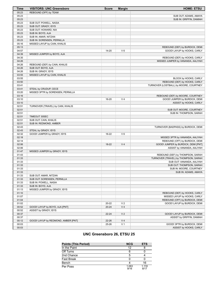| <b>Time</b>    | <b>VISITORS: UNC Greensboro</b>                      | <b>Score</b> | <b>Margin</b>  | <b>HOME: ETSU</b>                      |
|----------------|------------------------------------------------------|--------------|----------------|----------------------------------------|
| 05:23          | REBOUND (OFF) by TEAM                                |              |                |                                        |
| 05:23          |                                                      |              |                | SUB OUT: ADAMS, AMAYA                  |
| 05:23          |                                                      |              |                | SUB IN: GRIFFIN, DAMIAH                |
| 05:23          | SUB OUT: POWELL, NASIA                               |              |                |                                        |
| 05:23          | SUB OUT: GRADY, ISYS                                 |              |                |                                        |
| 05:23          | SUB OUT: HOWARD, NIA                                 |              |                |                                        |
| 05:23          | SUB IN: BOYD, AJA                                    |              |                |                                        |
| 05:23          | SUB IN: AMAR, NITZAN                                 |              |                |                                        |
| 05:23          | SUB IN: SORENSEN, PERNILLA                           |              |                |                                        |
| 05:16          | MISSED LAYUP by CAIN, KHALIS                         |              |                |                                        |
| 05:13          |                                                      |              |                | REBOUND (DEF) by BURDICK, DEMI         |
| 04:57          |                                                      | 14-20        | $V_6$          | GOOD! LAYUP by HOOKS, CARLY            |
| 04:39          | MISSED JUMPER by BOYD, AJA                           |              |                |                                        |
| 04:35          |                                                      |              |                | REBOUND (DEF) by HOOKS, CARLY          |
| 04:26          |                                                      |              |                | MISSED JUMPER by VANANDA, AALIYAH      |
| 04:26          | REBOUND (DEF) by CAIN, KHALIS                        |              |                |                                        |
| 04:26          | SUB OUT: BOYD, AJA                                   |              |                |                                        |
| 04:26          | SUB IN: GRADY, ISYS                                  |              |                |                                        |
| 03:55          | MISSED LAYUP by CAIN, KHALIS                         |              |                |                                        |
| 03:55          |                                                      |              |                | BLOCK by HOOKS, CARLY                  |
| 03:50          |                                                      |              |                | REBOUND (DEF) by HOOKS, CARLY          |
| 03:41          |                                                      |              |                | TURNOVER (LOSTBALL) by MOORE, COURTNEY |
| 03:41          | STEAL by CRUDUP, CECE                                |              |                |                                        |
| 03:20          | MISSED 3PTR by SORENSEN, PERNILLA                    |              |                |                                        |
| 03:16          |                                                      |              |                | REBOUND (DEF) by MOORE, COURTNEY       |
| 03:10          |                                                      | 16-20        | V <sub>4</sub> | GOOD! JUMPER by BURDICK, DEMI          |
| 03:10          |                                                      |              |                | ASSIST by HOOKS, CARLY                 |
| 02:51          | TURNOVER (TRAVEL) by CAIN, KHALIS                    |              |                |                                        |
| 02:51          |                                                      |              |                | SUB OUT: MOORE, COURTNEY               |
| 02:51          |                                                      |              |                | SUB IN: THOMPSON, SARAH                |
| 02:51          | TIMEOUT 30SEC                                        |              |                |                                        |
| 02:51          | SUB OUT: CAIN, KHALIS                                |              |                |                                        |
| 02:51          | SUB IN: REDMOND, AMBER                               |              |                |                                        |
| 02:43          |                                                      |              |                | TURNOVER (BADPASS) by BURDICK, DEMI    |
| 02:43          | STEAL by GRADY, ISYS                                 |              |                |                                        |
| 02:32          | GOOD! JUMPER by GRADY, ISYS                          | 16-22        | $V_6$          |                                        |
| 02:18          |                                                      |              |                | MISSED 3PTR by VANANDA, AALIYAH        |
| 02:14          |                                                      |              |                | REBOUND (OFF) by BURDICK, DEMI         |
| 02:06          |                                                      | 18-22        | V <sub>4</sub> | GOOD! JUMPER by BURDICK, DEMI [PNT]    |
| 02:06          |                                                      |              |                | ASSIST by VANANDA, AALIYAH             |
| 01:47          | MISSED JUMPER by GRADY, ISYS                         |              |                |                                        |
| 01:43          |                                                      |              |                | REBOUND (DEF) by THOMPSON, SARAH       |
| 01:33          |                                                      |              |                | TURNOVER (TRAVEL) by THOMPSON, SARAH   |
| 01:33          |                                                      |              |                | SUB OUT: VANANDA, AALIYAH              |
| 01:33          |                                                      |              |                | SUB OUT: THOMPSON, SARAH               |
| 01:33          |                                                      |              |                | SUB IN: MOORE, COURTNEY                |
| 01:33<br>01:33 |                                                      |              |                | SUB IN: ADAMS, AMAYA                   |
| 01:33          | SUB OUT: AMAR, NITZAN<br>SUB OUT: SORENSEN, PERNILLA |              |                |                                        |
| 01:33          | SUB IN: POWELL, NASIA                                |              |                |                                        |
| 01:33          | SUB IN: BOYD, AJA                                    |              |                |                                        |
| 01:13          | MISSED JUMPER by GRADY, ISYS                         |              |                |                                        |
| 01:10          |                                                      |              |                | REBOUND (DEF) by HOOKS, CARLY          |
| 01:07          |                                                      |              |                | MISSED LAYUP by HOOKS, CARLY           |
| 01:04          |                                                      |              |                | REBOUND (OFF) by BURDICK, DEMI         |
| 01:02          |                                                      | 20-22        | V <sub>2</sub> | GOOD! LAYUP by BURDICK, DEMI           |
| 00:52          | GOOD! LAYUP by BOYD, AJA [PNT]                       | $20 - 24$    | V <sub>4</sub> |                                        |
| 00:52          | ASSIST by GRADY, ISYS                                |              |                |                                        |
| 00:37          |                                                      | $22 - 24$    | V <sub>2</sub> | GOOD! LAYUP by BURDICK, DEMI           |
| 00:37          |                                                      |              |                | ASSIST by GRIFFIN, DAMIAH              |
| 00:12          | GOOD! LAYUP by REDMOND, AMBER [PNT]                  | 22-26        | V <sub>4</sub> |                                        |
| 00:03          |                                                      | 25-26        | V <sub>1</sub> | GOOD! 3PTR by BURDICK, DEMI            |
| 00:03          |                                                      |              |                | ASSIST by HOOKS, CARLY                 |
|                |                                                      |              |                |                                        |

# **UNC Greensboro 26, ETSU 25**

| <b>Points (This Period)</b> | <b>NCG</b>    | <b>ETS</b>    |
|-----------------------------|---------------|---------------|
| In the Paint                | 12            |               |
| Off Turns                   |               |               |
| 2nd Chance                  |               |               |
| <b>Fast Break</b>           |               |               |
| Bench                       |               | 16            |
| Per Poss                    | 1.063<br>9/16 | 1.118<br>8/17 |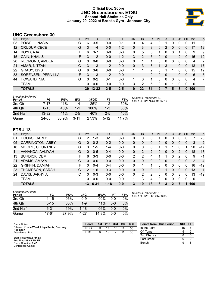# **Official Box Score UNC Greensboro vs ETSU Second Half Statistics Only January 20, 2022 at Brooks Gym - Johnson City**



# **UNC Greensboro 30**

| No. | Plaver                | S  | <b>Pts</b> | <b>FG</b> | 3FG     | <b>FT</b> | OR | <b>DR</b> | TR            | PF       | A        | TO       | <b>B</b> lk | Stl      | <b>Min</b> | $+/-$ |
|-----|-----------------------|----|------------|-----------|---------|-----------|----|-----------|---------------|----------|----------|----------|-------------|----------|------------|-------|
| 03  | POWELL, NASIA         | G  | 6          | $3-5$     | $0 - 0$ | $0 - 1$   | 0  | 4         | 4             | 0        |          | 0        | 0           | 0        | 11         | 9     |
| 12  | CRUDUP, CECE          | G  | 3          | $1 - 4$   | $0 - 0$ | $1 - 2$   | 0  | 3         | 3             | $\Omega$ | 2        | 0        | 0           | 0        | 17         | 12    |
| 14  | BOYD, AJA             | F  | 6          | $3 - 7$   | $0 - 0$ | $0 - 0$   | 0  | 5         | 5             | 1        | 0        | $\Omega$ |             | $\Omega$ | 9          | 9     |
| 15  | CAIN, KHALIS          | F. | 3          | $1 - 2$   | $0 - 0$ | $1 - 2$   | 3  | 2         | 5             | $\Omega$ | 0        |          | 2           | $\Omega$ | 15         | 12    |
| 20  | <b>REDMOND, AMBER</b> | G  | 0          | $0 - 0$   | $0 - 0$ | $0 - 0$   | 0  | ٠         |               | 0        | 0        | 0        | 0           | 0        | 4          | 2     |
| 21  | AMAR, NITZAN          | G  | 3          | $1 - 3$   | $1 - 2$ | $0 - 0$   | 0  | 3         | 3             |          | 3        |          | 0           | 0        | 18         | 17    |
| 22  | <b>GRADY, ISYS</b>    | G  | 6          | $3-6$     | $0 - 0$ | $0 - 0$   |    |           | 2             | 0        |          |          | 0           | 0        | 15         | 12    |
| 33  | SORENSEN, PERNILLA    | F. | 3          | $1 - 3$   | $1 - 2$ | $0 - 0$   |    |           | $\mathcal{P}$ | 0        | 0        |          | $\Omega$    | 0        | 6          | 5     |
| 44  | HOWARD, NIA           | G  | $\Omega$   | $0 - 2$   | $0 - 1$ | $0 - 0$   | 1  | $\Omega$  | 1             | $\Omega$ | $\Omega$ | 0        | $\Omega$    | 0        | 4          | 7     |
|     | <b>TEAM</b>           |    | 0          | $0 - 0$   | $0 - 0$ | $0 - 0$   | 3  | 2         | 5             | $\Omega$ | 0        | 1        | 0           | 0        | 0          |       |
|     | <b>TOTALS</b>         |    | 30         | $13 - 32$ | $2 - 5$ | $2 - 5$   | 9  | 22        | 31            | 2        |          | 5        |             | 0        | 100        |       |

| <b>Shooting By Period</b><br>Period | FG        | FG%   | 3FG      | 3FG%  | FT      | FT%   | Deadball Rebounds: 3,0<br>Last FG Half: NCG 4th-02:17 |
|-------------------------------------|-----------|-------|----------|-------|---------|-------|-------------------------------------------------------|
| 3rd Qtr                             | 7-17      | 41%   | 1-4      | 25%   | 1-2     | 50%   |                                                       |
| 4th Qtr                             | $6 - 15$  | 40%   | $1 - 1$  | 100%  | 1-3     | 33%   |                                                       |
| 2nd Half                            | $13 - 32$ | 41%   | $2 - 5$  | 40%   | $2 - 5$ | 40%   |                                                       |
| Game                                | 24-65     | 36.9% | $3 - 11$ | 27.3% | $5-12$  | 41 7% |                                                       |

# **ETSU 13**

| No. | Plaver                  | S | <b>Pts</b>    | <b>FG</b> | 3FG      | <b>FT</b> | <b>OR</b> | DR       | TR             | PF       | A | TO | <b>Blk</b>   | Stl      | <b>Min</b> | $+/-$ |
|-----|-------------------------|---|---------------|-----------|----------|-----------|-----------|----------|----------------|----------|---|----|--------------|----------|------------|-------|
| 01  | HOOKS, CARLY            | G | 2             | 1-3       | $0 - 1$  | $0-0$     | 0         | 0        | 0              |          | 0 | 0  | $\Omega$     | 0        |            | -6    |
| 05  | <b>CARRINGTON, ABBY</b> | G | 0             | $0 - 2$   | $0 - 2$  | $0 - 0$   | 0         | 0        | 0              | 0        | 0 | 0  | 0            | 0        | 3          | $-2$  |
| 10  | MOORE, COURTNEY         | G | 3             | $1-5$     | $1 - 4$  | $0-0$     | 0         | 0        | 0              |          |   |    |              |          | 20         | $-17$ |
| 11  | VANANDA, AALIYAH        | G | 0             | $0 - 5$   | $0 - 4$  | $0 - 0$   | 0         | 2        | $\overline{2}$ | 0        | 0 | 0  | 2            | 0        | 18         | $-13$ |
| 13  | <b>BURDICK, DEMI</b>    | F | 6             | $3 - 3$   | $0 - 0$  | $0-0$     | 2         | 2        | 4              |          |   | 0  | 2            | 0        | 9          | -1    |
| 21  | ADAMS, AMAYA            | G | 0             | $0 - 0$   | $0 - 0$  | $0 - 0$   | 0         | $\Omega$ | 0              | 0        | 0 |    | $\Omega$     | 0        | 2          | $-4$  |
| 22  | <b>GRIFFIN, DAMIAH</b>  | F | n             | $0 - 4$   | $0 - 4$  | $0 - 0$   | 0         | 1        |                | 0        | 0 | 0  | <sup>0</sup> | 0        | 16         | $-12$ |
| 23  | THOMPSON, SARAH         | G | $\mathcal{P}$ | $1 - 6$   | $0 - 3$  | $0 - 0$   | 0         | $\Omega$ | 0              | 0        |   | 0  | $\Omega$     | $\Omega$ | 13         | $-11$ |
| 24  | DAVIS, JAKHYIA          | C | 0             | $0 - 3$   | $0 - 0$  | $0 - 0$   | 0         | 2        | 2              | $\Omega$ | 0 | 0  | 3            | 0        | 13         | $-19$ |
|     | <b>TEAM</b>             |   | 0             | $0 - 0$   | $0 - 0$  | $0-0$     |           | 3        | 4              | 0        | 0 | 0  | $\Omega$     | 0        | 0          |       |
|     | <b>TOTALS</b>           |   | 13            | $6 - 31$  | $1 - 18$ | $0 - 0$   | 3         | 10       | 13             | 3        | 3 |    |              |          | 100        |       |

| <b>Shooting By Period</b><br>Period | FG       | FG%   | 3FG      | 3FG%   | FT      | FT%   |
|-------------------------------------|----------|-------|----------|--------|---------|-------|
| 3rd Qtr                             | $1 - 16$ | 06%   | $0 - 9$  | $00\%$ | ი-ი     | 0%    |
| 4th Otr                             | $5 - 15$ | 33%   | $1 - 9$  | 11%    | $0 - 0$ | $0\%$ |
| 2nd Half                            | 6-31     | 19%   | $1 - 18$ | 06%    | ი-ი     | $0\%$ |
| Game                                | 17-61    | 27.9% | 4-27     | 14.8%  | ი-ი     | 0%    |

*Deadball Rebounds:* 0,0 *Last FG Half:* ETS 4th-03:03

| Game Notes:                                                       | <b>Score</b> | 1st. | 2nd | 3rd | 4th | <b>TOT</b> | <b>Points from (This Period)</b> | <b>NCG ETS</b> |  |
|-------------------------------------------------------------------|--------------|------|-----|-----|-----|------------|----------------------------------|----------------|--|
| Officials: Kristie Weed, Libya Rentz, Courtney<br><b>Robinson</b> | <b>NCG</b>   |      |     | 16  | 14  | 56         | In the Paint                     | 16             |  |
| Attendance: 412                                                   | <b>ETS</b>   | 6    | 19  |     |     | 38         | Off Turns                        |                |  |
|                                                                   |              |      |     |     |     |            | 2nd Chance                       |                |  |
| Start Time: 07:02 PM ET<br>End Time: 08:49 PM ET                  |              |      |     |     |     |            | <b>Fast Break</b>                |                |  |
| Game Duration: 1:47                                               |              |      |     |     |     |            | Bench                            |                |  |
| Conference Game:                                                  |              |      |     |     |     |            |                                  |                |  |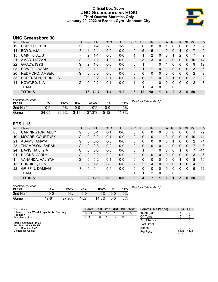# **Official Box Score UNC Greensboro vs ETSU Third Quarter Statistics Only January 20, 2022 at Brooks Gym - Johnson City**



# **UNC Greensboro 30**

| No. | Plaver                | S  | <b>Pts</b>  | <b>FG</b> | 3FG     | <b>FT</b> | <b>OR</b>    | <b>DR</b> | TR | PF | A        | TO       | <b>Blk</b> | Stl          | Min | $+/-$          |
|-----|-----------------------|----|-------------|-----------|---------|-----------|--------------|-----------|----|----|----------|----------|------------|--------------|-----|----------------|
| 12  | CRUDUP, CECE          | G  | 3           | $1 - 2$   | $0 - 0$ | 1-2       | 0            | 0         | 0  | 0  |          | 0        | 0          | 0            |     | 9              |
| 14  | BOYD, AJA             | F  | 4           | $2 - 4$   | $0 - 0$ | $0-0$     | $\mathbf{0}$ | 5         | 5  |    | 0        | $\Omega$ | 1          | 0            | 7   | 9              |
| 15  | CAIN, KHALIS          | F. | 2           | 1-1       | $0 - 0$ | $0 - 0$   | 1            |           | 2  | 0  | 0        |          | 2          | 0            |     | 9              |
| 21  | AMAR, NITZAN          | G  | 3           | $1 - 2$   | $1 - 2$ | $0 - 0$   | $\Omega$     | 3         | 3  | 0  |          | 0        | 0          | 0            | 10  | 14             |
| 22  | <b>GRADY, ISYS</b>    | G  | 2           | $1 - 3$   | $0 - 0$ | $0 - 0$   | 0            |           | 1  | U  |          |          | 0          | 0            | 9   | 12             |
| 03  | POWELL, NASIA         | G  | $2^{\circ}$ | 1-1       | $0 - 0$ | $0 - 0$   | 0            |           |    | 0  |          | 0        | 0          | $\mathbf{0}$ | 3   | 6              |
| 20  | <b>REDMOND, AMBER</b> | G  | 0           | $0 - 0$   | $0 - 0$ | $0 - 0$   | 0            | 0         | 0  | 0  | 0        | 0        | 0          | 0            | 2   | $\overline{2}$ |
| 33  | SORENSEN, PERNILLA    | F  | 0           | $0 - 2$   | $0 - 1$ | $0 - 0$   |              | 0         | 1  | 0  | $\Omega$ |          | 0          | $\Omega$     | 2   | 2              |
| 44  | HOWARD, NIA           | G  | $\Omega$    | $0 - 2$   | $0 - 1$ | $0-0$     | 1            | 0         | 1  | 0  | 0        | $\Omega$ | 0          | 0            | 2   | 7              |
|     | TEAM                  |    |             |           |         |           | 3            |           | 4  | 0  |          | 0        |            |              |     |                |
|     | <b>TOTALS</b>         |    | 16          | 7-17      | $1 - 4$ | $1 - 2$   | 6            | 12        | 18 |    | 4        |          | 3          | $\mathbf{0}$ | 50  |                |

| <b>Shooting By Period</b><br>Period | FG    | FG%   | 3FG      | 3FG%  | FT     | FT%   | Deadball Rebounds: 3,0 |
|-------------------------------------|-------|-------|----------|-------|--------|-------|------------------------|
| 2nd Half                            | 0-0   | 0%    | 0-0      | 0%    | ი-ი    | 0%    |                        |
| Game                                | 24-65 | 36.9% | $3 - 11$ | 27.3% | $5-12$ | 41 7% |                        |

# **ETSU 13**

| No. | Plaver                  | S | <b>Pts</b>     | <b>FG</b> | 3FG     | <b>FT</b> | <b>OR</b>      | DR | TR | PF          | A        | TO | <b>Blk</b> | Stl          | Min | $+/-$        |
|-----|-------------------------|---|----------------|-----------|---------|-----------|----------------|----|----|-------------|----------|----|------------|--------------|-----|--------------|
| 05  | <b>CARRINGTON, ABBY</b> | G | 0              | $0 - 1$   | $0 - 1$ | $0 - 0$   | 0              | 0  | 0  | 0           | $\Omega$ | 0  | 0          |              |     | $-2$         |
| 10  | MOORE, COURTNEY         | G | 0              | $0 - 2$   | $0 - 1$ | $0 - 0$   | 0              | 0  | 0  |             | 0        | 0  | 0          | 0            | 10  | $-14$        |
| 21  | ADAMS, AMAYA            | G | 0              | $0 - 0$   | $0 - 0$ | $0 - 0$   | 0              | 0  | 0  | 0           |          |    | 0          | 0            | 2   | -4           |
| 23  | THOMPSON, SARAH         | G | 0              | $0 - 3$   | $0 - 2$ | $0 - 0$   | $\Omega$       | 0  | 0  | 0           |          | 0  | 0          | 0            | 7   | -8           |
| 24  | DAVIS, JAKHYIA          | С | 0              | $0 - 3$   | $0 - 0$ | $0 - 0$   | $\Omega$       |    |    | 0           |          | 0  |            |              |     | $-14$        |
| 01  | HOOKS, CARLY            | G | 0              | $0 - 0$   | $0 - 0$ | $0 - 0$   | 0              | 0  | 0  | 0           | 0        | 0  | 0          | $\mathbf{0}$ | 3   | -6           |
| 11  | VANANDA, AALIYAH        | G | 0              | $0 - 2$   | $0 - 1$ | $0 - 0$   | 0              | 0  | 0  | 0           | $\Omega$ | 0  |            | 0            | 8   | $-10$        |
| 13  | <b>BURDICK, DEMI</b>    | F | $\mathcal{P}$  | $1 - 1$   | $0 - 0$ | $0 - 0$   | $\overline{2}$ | 2  | 4  | 0           | $\Omega$ | 0  |            | $\Omega$     | 4   | $\mathbf{0}$ |
| 22  | <b>GRIFFIN, DAMIAH</b>  | F | ŋ              | $0 - 4$   | $0 - 4$ | $0 - 0$   | 0              | 0  | 0  | 0           | $\Omega$ | 0  | 0          | $\Omega$     | 9   | $-12$        |
|     | TEAM                    |   |                |           |         |           |                | 1  | 2  | $\mathbf 0$ |          | 0  |            |              |     |              |
|     | <b>TOTALS</b>           |   | $\overline{2}$ | 1-16      | $0 - 9$ | $0 - 0$   |                | 4  |    |             |          |    | З          | 0            | 50  |              |

| <b>Shooting By Period</b><br>Period | FG    | FG%   | 3FG  | 3FG%  | FT      | FT% |
|-------------------------------------|-------|-------|------|-------|---------|-----|
| 2nd Half                            | 0-0   | 0%    | ი ი  | 0%    | $0 - 0$ | 0%  |
| Game                                | 17-61 | 27.9% | 4.27 | 14.8% | 0-0     | 0%  |

*Deadball Rebounds:* 0,0

| Game Notes:                                                       | <b>Score</b> | 1st. | 2nd | 3rd | 4th | <b>TOT</b> | <b>Points (This Period)</b> | <b>NCG ETS</b> |               |
|-------------------------------------------------------------------|--------------|------|-----|-----|-----|------------|-----------------------------|----------------|---------------|
| Officials: Kristie Weed, Libya Rentz, Courtney<br><b>Robinson</b> | <b>NCG</b>   | 9    |     | 16  | 14  | 56         | In the Paint                |                |               |
| Attendance: 412                                                   | <b>ETS</b>   | 6    | 19  |     |     | 38         | Off Turns                   |                |               |
|                                                                   |              |      |     |     |     |            | 2nd Chance                  |                |               |
| Start Time: 07:02 PM ET<br>End Time: 08:49 PM ET                  |              |      |     |     |     |            | <b>Fast Break</b>           |                |               |
| Game Duration: 1:47                                               |              |      |     |     |     |            | Bench                       |                |               |
| Conference Game;                                                  |              |      |     |     |     |            | Per Poss                    | 1.143<br>8/14  | 0.143<br>1/14 |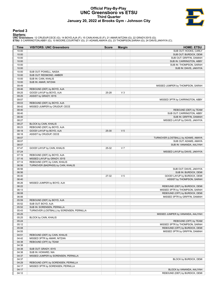# **Official Play-By-Play UNC Greensboro vs ETSU Third Quarter January 20, 2022 at Brooks Gym - Johnson City**



# **Period 3**

<mark>Startersː</mark><br>UNC Greensboro: 12 CRUDUP,CECE (G); 14 BOYD,AJA (F); 15 CAIN,KHALIS (F); 21 AMAR,NITZAN (G); 22 GRADY,ISYS (G);<br>ETSU: 5 CARRINGTON,ABBY (G); 10 MOORE,COURTNEY (G); 21 ADAMS,AMAYA (G); 23 THOMPSON,SARAH (G); 24

| Time           | <b>VISITORS: UNC Greensboro</b>                        | <b>Score</b> | <b>Margin</b>  | <b>HOME: ETSU</b>                                         |
|----------------|--------------------------------------------------------|--------------|----------------|-----------------------------------------------------------|
| 10:00          |                                                        |              |                | SUB OUT: HOOKS, CARLY                                     |
| 10:00          |                                                        |              |                | SUB OUT: BURDICK, DEMI                                    |
| 10:00          |                                                        |              |                | SUB OUT: GRIFFIN, DAMIAH                                  |
| 10:00          |                                                        |              |                | SUB IN: CARRINGTON, ABBY                                  |
| 10:00          |                                                        |              |                | SUB IN: THOMPSON, SARAH                                   |
| 10:00          |                                                        |              |                | SUB IN: DAVIS, JAKHYIA                                    |
| 10:00          | SUB OUT: POWELL, NASIA                                 |              |                |                                                           |
| 10:00          | SUB OUT: REDMOND, AMBER                                |              |                |                                                           |
| 10:00          | SUB IN: CAIN, KHALIS                                   |              |                |                                                           |
| 10:00          | SUB IN: AMAR, NITZAN                                   |              |                |                                                           |
| 09:49          |                                                        |              |                | MISSED JUMPER by THOMPSON, SARAH                          |
| 09:46<br>09:25 | REBOUND (DEF) by BOYD, AJA<br>GOOD! LAYUP by BOYD, AJA | 25-28        | V <sub>3</sub> |                                                           |
| 09:25          | ASSIST by GRADY, ISYS                                  |              |                |                                                           |
| 09:07          |                                                        |              |                | MISSED 3PTR by CARRINGTON, ABBY                           |
| 09:03          | REBOUND (DEF) by BOYD, AJA                             |              |                |                                                           |
| 08:42          | MISSED JUMPER by CRUDUP, CECE                          |              |                |                                                           |
| 08:40          |                                                        |              |                | REBOUND (DEF) by TEAM                                     |
| 08:40          |                                                        |              |                | SUB OUT: CARRINGTON, ABBY                                 |
| 08:40          |                                                        |              |                | SUB IN: GRIFFIN, DAMIAH                                   |
| 08:27          |                                                        |              |                | MISSED LAYUP by DAVIS, JAKHYIA                            |
| 08:27          | BLOCK by CAIN, KHALIS                                  |              |                |                                                           |
| 08:23          | REBOUND (DEF) by BOYD, AJA                             |              |                |                                                           |
| 08:18          | GOOD! LAYUP by BOYD, AJA                               | 25-30        | V <sub>5</sub> |                                                           |
| 08:18          | ASSIST by CRUDUP, CECE                                 |              |                |                                                           |
| 08:07          |                                                        |              |                | TURNOVER (LOSTBALL) by ADAMS, AMAYA                       |
| 08:07          |                                                        |              |                | SUB OUT: ADAMS, AMAYA                                     |
| 08:07          |                                                        |              |                | SUB IN: VANANDA, AALIYAH                                  |
| 07:47          | GOOD! LAYUP by CAIN, KHALIS                            | 25-32        | V <sub>7</sub> |                                                           |
| 07:24          |                                                        |              |                | MISSED LAYUP by DAVIS, JAKHYIA                            |
| 07:19          | REBOUND (DEF) by BOYD, AJA                             |              |                |                                                           |
| 07:16          | MISSED LAYUP by GRADY, ISYS                            |              |                |                                                           |
| 07:14          | REBOUND (OFF) by CAIN, KHALIS                          |              |                |                                                           |
| 06:56          | TURNOVER (BADPASS) by CAIN, KHALIS                     |              |                |                                                           |
| 06:56          |                                                        |              |                | SUB OUT: DAVIS, JAKHYIA                                   |
| 06:56<br>06:40 |                                                        | 27-32        | V <sub>5</sub> | SUB IN: BURDICK, DEMI                                     |
| 06:40          |                                                        |              |                | GOOD! LAYUP by BURDICK, DEMI<br>ASSIST by THOMPSON, SARAH |
| 06:26          | MISSED JUMPER by BOYD, AJA                             |              |                |                                                           |
| 06:22          |                                                        |              |                | REBOUND (DEF) by BURDICK, DEMI                            |
| 06:13          |                                                        |              |                | MISSED 3PTR by THOMPSON, SARAH                            |
| 06:08          |                                                        |              |                | REBOUND (OFF) by BURDICK, DEMI                            |
| 06:06          |                                                        |              |                | MISSED 3PTR by GRIFFIN, DAMIAH                            |
| 05:59          | REBOUND (DEF) by BOYD, AJA                             |              |                |                                                           |
| 05:52          | SUB OUT: BOYD, AJA                                     |              |                |                                                           |
| 05:52          | SUB IN: SORENSEN, PERNILLA                             |              |                |                                                           |
| 05:43          | TURNOVER (LOSTBALL) by SORENSEN, PERNILLA              |              |                |                                                           |
| 05:25          |                                                        |              |                | MISSED JUMPER by VANANDA, AALIYAH                         |
| 05:25          | BLOCK by CAIN, KHALIS                                  |              |                |                                                           |
| 05:24          |                                                        |              |                | REBOUND (OFF) by TEAM                                     |
| 05:12          |                                                        |              |                | MISSED 3PTR by THOMPSON, SARAH                            |
| 05:08          |                                                        |              |                | REBOUND (OFF) by BURDICK, DEMI                            |
| 04:55          |                                                        |              |                | MISSED 3PTR by GRIFFIN, DAMIAH                            |
| 04:51          | REBOUND (DEF) by CAIN, KHALIS                          |              |                |                                                           |
| 04:42          | MISSED 3PTR by AMAR, NITZAN                            |              |                |                                                           |
| 04:38          | REBOUND (OFF) by TEAM                                  |              |                |                                                           |
| 04:38          |                                                        |              |                |                                                           |
| 04:38          | SUB OUT: GRADY, ISYS                                   |              |                |                                                           |
| 04:38          | SUB IN: HOWARD, NIA                                    |              |                |                                                           |
| 04:37          | MISSED JUMPER by SORENSEN, PERNILLA                    |              |                |                                                           |
| 04:37          |                                                        |              |                | BLOCK by BURDICK, DEMI                                    |
| 04:29          | REBOUND (OFF) by SORENSEN, PERNILLA                    |              |                |                                                           |
| 04:17          | MISSED 3PTR by SORENSEN, PERNILLA                      |              |                |                                                           |
| 04:17          |                                                        |              |                | BLOCK by VANANDA, AALIYAH                                 |
| 04:12          |                                                        |              |                | REBOUND (DEF) by BURDICK, DEMI                            |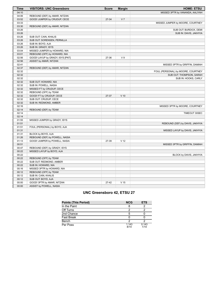| Time  | <b>VISITORS: UNC Greensboro</b>  | <b>Score</b> | <b>Margin</b>   | <b>HOME: ETSU</b>                  |
|-------|----------------------------------|--------------|-----------------|------------------------------------|
| 04:10 |                                  |              |                 | MISSED 3PTR by VANANDA, AALIYAH    |
| 04:06 | REBOUND (DEF) by AMAR, NITZAN    |              |                 |                                    |
| 03:52 | GOOD! JUMPER by CRUDUP, CECE     | 27-34        | V <sub>7</sub>  |                                    |
| 03:33 |                                  |              |                 | MISSED JUMPER by MOORE, COURTNEY   |
| 03:30 | REBOUND (DEF) by AMAR, NITZAN    |              |                 |                                    |
| 03:26 |                                  |              |                 | SUB OUT: BURDICK, DEMI             |
| 03:26 |                                  |              |                 | SUB IN: DAVIS, JAKHYIA             |
| 03:26 | SUB OUT: CAIN, KHALIS            |              |                 |                                    |
| 03:26 | SUB OUT: SORENSEN, PERNILLA      |              |                 |                                    |
| 03:26 | SUB IN: BOYD, AJA                |              |                 |                                    |
| 03:26 | SUB IN: GRADY, ISYS              |              |                 |                                    |
| 03:04 | MISSED JUMPER by HOWARD, NIA     |              |                 |                                    |
| 03:01 | REBOUND (OFF) by HOWARD, NIA     |              |                 |                                    |
| 02:56 | GOOD! LAYUP by GRADY, ISYS [PNT] | 27-36        | V <sub>9</sub>  |                                    |
| 02:56 | ASSIST by AMAR, NITZAN           |              |                 |                                    |
| 02:41 |                                  |              |                 |                                    |
| 02:37 |                                  |              |                 | MISSED 3PTR by GRIFFIN, DAMIAH     |
|       | REBOUND (DEF) by AMAR, NITZAN    |              |                 |                                    |
| 02:32 |                                  |              |                 | FOUL (PERSONAL) by MOORE, COURTNEY |
| 02:32 |                                  |              |                 | SUB OUT: THOMPSON, SARAH           |
| 02:32 |                                  |              |                 | SUB IN: HOOKS, CARLY               |
| 02:32 | SUB OUT: HOWARD, NIA             |              |                 |                                    |
| 02:32 | SUB IN: POWELL, NASIA            |              |                 |                                    |
| 02:32 | MISSED FT by CRUDUP, CECE        |              |                 |                                    |
| 02:32 | REBOUND (OFF) by TEAM            |              |                 |                                    |
| 02:32 | GOOD! FT by CRUDUP, CECE         | 27-37        | $V$ 10          |                                    |
| 02:32 | SUB OUT: CRUDUP, CECE            |              |                 |                                    |
| 02:32 | SUB IN: REDMOND, AMBER           |              |                 |                                    |
| 02:16 |                                  |              |                 | MISSED 3PTR by MOORE, COURTNEY     |
| 02:14 | REBOUND (DEF) by TEAM            |              |                 |                                    |
| 02:14 |                                  |              |                 | TIMEOUT 30SEC                      |
| 02:14 |                                  |              |                 |                                    |
| 01:55 | MISSED JUMPER by GRADY, ISYS     |              |                 |                                    |
| 01:51 |                                  |              |                 | REBOUND (DEF) by DAVIS, JAKHYIA    |
| 01:51 | FOUL (PERSONAL) by BOYD, AJA     |              |                 |                                    |
| 01:31 |                                  |              |                 | MISSED LAYUP by DAVIS, JAKHYIA     |
| 01:31 | BLOCK by BOYD, AJA               |              |                 |                                    |
| 01:26 | REBOUND (DEF) by POWELL, NASIA   |              |                 |                                    |
| 01:13 | GOOD! JUMPER by POWELL, NASIA    | 27-39        | V <sub>12</sub> |                                    |
| 00:51 |                                  |              |                 | MISSED 3PTR by GRIFFIN, DAMIAH     |
| 00:47 | REBOUND (DEF) by GRADY, ISYS     |              |                 |                                    |
| 00:22 | MISSED LAYUP by BOYD, AJA        |              |                 |                                    |
| 00:22 |                                  |              |                 | BLOCK by DAVIS, JAKHYIA            |
| 00:22 | REBOUND (OFF) by TEAM            |              |                 |                                    |
| 00:22 | SUB OUT: REDMOND, AMBER          |              |                 |                                    |
| 00:22 | SUB IN: HOWARD, NIA              |              |                 |                                    |
| 00:16 | MISSED 3PTR by HOWARD, NIA       |              |                 |                                    |
| 00:12 | REBOUND (OFF) by TEAM            |              |                 |                                    |
| 00:12 | SUB IN: CAIN, KHALIS             |              |                 |                                    |
| 00:12 | SUB OUT: BOYD, AJA               |              |                 |                                    |
| 00:00 | GOOD! 3PTR by AMAR, NITZAN       | $27-42$      | V <sub>15</sub> |                                    |
| 00:00 | ASSIST by POWELL, NASIA          |              |                 |                                    |
|       |                                  |              |                 |                                    |

# **UNC Greensboro 42, ETSU 27**

| <b>Points (This Period)</b> | <b>NCG</b>    | <b>ETS</b>    |
|-----------------------------|---------------|---------------|
| In the Paint                |               |               |
| Off Turns                   |               |               |
| 2nd Chance                  |               |               |
| <b>Fast Break</b>           |               |               |
| Bench                       |               |               |
| Per Poss                    | 1.143<br>8/14 | 0.143<br>1/14 |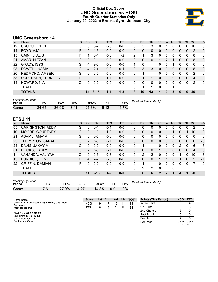# **Official Box Score UNC Greensboro vs ETSU Fourth Quarter Statistics Only January 20, 2022 at Brooks Gym - Johnson City**



# **UNC Greensboro 14**

| No. | Plaver                | S  | Pts      | <b>FG</b> | 3FG     | <b>FT</b> | <b>OR</b> | <b>DR</b> | TR | PF | A            | TO       | <b>Blk</b> | Stl      | Min            | $+/-$          |
|-----|-----------------------|----|----------|-----------|---------|-----------|-----------|-----------|----|----|--------------|----------|------------|----------|----------------|----------------|
| 12  | CRUDUP, CECE          | G  | 0        | $0 - 2$   | $0-0$   | $0-0$     | 0         | 3         | 3  | 0  |              | 0        | 0          | 0        | 10             | 3              |
| 14  | BOYD, AJA             | F  | 2        | $1 - 3$   | $0-0$   | $0-0$     | 0         | 0         | 0  | 0  | $\mathbf{0}$ | 0        | 0          | $\Omega$ | 2              | $\overline{0}$ |
| 15  | CAIN, KHALIS          | F  |          | $0 - 1$   | $0 - 0$ | $1 - 2$   | 2         |           | 3  | 0  | 0            | $\Omega$ | 0          | 0        | 8              | 3              |
| 21  | AMAR, NITZAN          | G  | 0        | $0 - 1$   | $0 - 0$ | $0 - 0$   | $\Omega$  | 0         | 0  | 1  | 2            |          | 0          | $\Omega$ | 8              | 3              |
| 22  | <b>GRADY, ISYS</b>    | G  | 4        | $2 - 3$   | $0-0$   | $0 - 0$   | 1         | 0         | 1  | U  | 0            |          | 0          | 0        | 6              | $\mathbf{0}$   |
| 03  | POWELL, NASIA         | G  | 4        | $2 - 4$   | $0 - 0$ | $0 - 1$   | 0         | 3         | 3  | 0  | 0            | 0        | 0          | 0        | 8              | 3              |
| 20  | <b>REDMOND, AMBER</b> | G  | 0        | $0 - 0$   | $0 - 0$ | $0-0$     | 0         |           | 1  | 0  | 0            | 0        | 0          | 0        | 2              | 0              |
| 33  | SORENSEN, PERNILLA    | F. | 3        | 1-1       | $1 - 1$ | $0 - 0$   | 0         |           |    | 0  | 0            | $\Omega$ | 0          | $\Omega$ | $\overline{4}$ | 3              |
| 44  | HOWARD, NIA           | G  | $\Omega$ | $0 - 0$   | $0 - 0$ | $0 - 0$   | 0         | 0         | 0  | 0  | 0            | $\Omega$ | 0          | $\Omega$ | 2              | $\overline{0}$ |
|     | TEAM                  |    |          |           |         |           | 0         |           | 1  | 0  |              |          |            |          |                |                |
|     | <b>TOTALS</b>         |    | 14       | $6 - 15$  | $1 - 1$ | $1 - 3$   | 3         | 10        | 13 |    | 3            | 3        | 0          | 0        | 50             |                |

| <b>Shooting By Period</b><br>Period | FG    | FG%   | 3FG      | 3FG%  |          | FT%   | Deadball Rebounds: 3,0 |
|-------------------------------------|-------|-------|----------|-------|----------|-------|------------------------|
| Game                                | 24-65 | 36.9% | $3 - 11$ | 27.3% | $5 - 12$ | $7\%$ |                        |

# **ETSU 11**

| No. | Player                  | S  | <b>Pts</b>     | <b>FG</b> | 3FG     | <b>FT</b> | <b>OR</b>    | DR | <b>TR</b>      | <b>PF</b> | A            | TO       | <b>B</b> lk    | Stl      | Min | $+/-$        |
|-----|-------------------------|----|----------------|-----------|---------|-----------|--------------|----|----------------|-----------|--------------|----------|----------------|----------|-----|--------------|
| 05  | <b>CARRINGTON, ABBY</b> | G  | 0              | $0 - 1$   | 0-1     | $0-0$     | 0            | 0  | 0              | 0         | 0            | 0        | O              | 0        | 2   | -0           |
| 10  | MOORE, COURTNEY         | G  | 3              | $1 - 3$   | $1 - 3$ | $0 - 0$   | 0            | 0  | 0              | 0         |              |          | 0              |          | 10  | $-3$         |
| 21  | ADAMS, AMAYA            | G  | 0              | $0 - 0$   | $0 - 0$ | $0-0$     | 0            | 0  | 0              | 0         | 0            | 0        | 0              | 0        | 0   | $\mathbf{0}$ |
| 23  | THOMPSON, SARAH         | G  | $\overline{2}$ | $1 - 3$   | $0 - 1$ | $0 - 0$   | $\mathbf{0}$ | 0  | $\mathbf{0}$   | 0         | $\mathbf{0}$ | $\Omega$ | 0              | 0        | 6   | $-3$         |
| 24  | DAVIS, JAKHYIA          | С  | 0              | $0 - 0$   | $0 - 0$ | $0-0$     | 0            |    | 1              | 0         | 0            | 0        | $\overline{2}$ | 0        | 6   | -5           |
| 01  | HOOKS, CARLY            | G  | $\mathcal{P}$  | $1 - 3$   | $0 - 1$ | $0-0$     | $\mathbf{0}$ | 0  | 0              | 1         | 0            | $\Omega$ | 0              | $\Omega$ | 4   | $\mathbf{0}$ |
| 11  | VANANDA, AALIYAH        | G  | 0              | $0 - 3$   | $0 - 3$ | $0-0$     | 0            | 2  | $\overline{2}$ | 0         | 0            | 0        | 1              | 0        | 10  | -3           |
| 13  | <b>BURDICK, DEMI</b>    | F. | 4              | $2 - 2$   | $0 - 0$ | $0 - 0$   | $\Omega$     | 0  | 0              |           |              | 0        | 1              | 0        | 5   | $-1$         |
| 22  | <b>GRIFFIN, DAMIAH</b>  | F  | U              | $0 - 0$   | $0 - 0$ | $0-0$     | 0            |    | 1              | 0         | 0            | 0        | 0              | 0        | 7   | $\mathbf{0}$ |
|     | <b>TEAM</b>             |    |                |           |         |           | 0            | 2  | 2              | 0         |              | 0        |                |          |     |              |
|     | <b>TOTALS</b>           |    | 11             | $5 - 15$  | $1 - 9$ | $0 - 0$   | 0            | 6  | 6              | 2         | 2            |          | 4              |          | 50  |              |
|     |                         |    |                |           |         |           |              |    |                |           |              |          |                |          |     |              |

| <b>Shooting By Period</b><br>Period | FG      | FG%   | 3FG  | 3FG%  |         | FT% |  |
|-------------------------------------|---------|-------|------|-------|---------|-----|--|
| Game                                | $17-61$ | 27.9% | 4-27 | 14.8% | $0 - 0$ | 0%  |  |

*Deadball Rebounds:* 0,0

Per Poss

0.875<br>7/16

0.688 5/16

| Game Notes:                                                       | <b>Score</b> | 1st | 2 <sub>nd</sub> | 3rd | 4th | <b>TOT</b> | <b>Points (This Period)</b> | <b>NCG</b> | ETS |
|-------------------------------------------------------------------|--------------|-----|-----------------|-----|-----|------------|-----------------------------|------------|-----|
| Officials: Kristie Weed, Libya Rentz, Courtney<br><b>Robinson</b> | <b>NCG</b>   |     |                 | 16  | 14  | -56        | In the Paint                |            |     |
| Attendance: 412                                                   | <b>ETS</b>   | 6   | 19              |     |     | 38         | Off Turns                   |            |     |
|                                                                   |              |     |                 |     |     |            | 2nd Chance                  |            |     |
| Start Time: 07:02 PM ET<br>End Time: $08:49$ PM ET                |              |     |                 |     |     |            | <b>Fast Break</b>           |            |     |
| Game Duration: 1:47                                               |              |     |                 |     |     |            | Bench                       |            |     |

End Time: **08:49 PM ET** Game Duration: **1:47** Conference Game;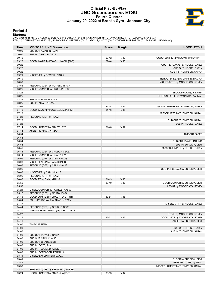# **Official Play-By-Play UNC Greensboro vs ETSU Fourth Quarter January 20, 2022 at Brooks Gym - Johnson City**



# **Period 4**

<mark>Startersː</mark><br>UNC Greensboro: 12 CRUDUP,CECE (G); 14 BOYD,AJA (F); 15 CAIN,KHALIS (F); 21 AMAR,NITZAN (G); 22 GRADY,ISYS (G);<br>ETSU: 5 CARRINGTON,ABBY (G); 10 MOORE,COURTNEY (G); 21 ADAMS,AMAYA (G); 23 THOMPSON,SARAH (G); 24

| Time  | <b>VISITORS: UNC Greensboro</b>    | <b>Score</b> | <b>Margin</b>   | <b>HOME: ETSU</b>                  |
|-------|------------------------------------|--------------|-----------------|------------------------------------|
| 10:00 | SUB OUT: AMAR, NITZAN              |              |                 |                                    |
| 10:00 | SUB IN: CRUDUP, CECE               |              |                 |                                    |
| 09:46 |                                    | 29-42        | V <sub>13</sub> | GOOD! JUMPER by HOOKS, CARLY [PNT] |
| 09:22 | GOOD! LAYUP by POWELL, NASIA [PNT] | 29-44        | V <sub>15</sub> |                                    |
| 09:22 |                                    |              |                 | FOUL (PERSONAL) by HOOKS, CARLY    |
| 09:22 |                                    |              |                 | SUB OUT: HOOKS, CARLY              |
| 09:22 |                                    |              |                 | SUB IN: THOMPSON, SARAH            |
| 09:21 | MISSED FT by POWELL, NASIA         |              |                 |                                    |
| 09:19 |                                    |              |                 | REBOUND (DEF) by GRIFFIN, DAMIAH   |
| 08:58 |                                    |              |                 | MISSED 3PTR by MOORE, COURTNEY     |
| 08:55 | REBOUND (DEF) by POWELL, NASIA     |              |                 |                                    |
| 08:25 | MISSED JUMPER by CRUDUP, CECE      |              |                 |                                    |
| 08:25 |                                    |              |                 | BLOCK by DAVIS, JAKHYIA            |
| 08:25 |                                    |              |                 | REBOUND (DEF) by VANANDA, AALIYAH  |
| 08:25 | SUB OUT: HOWARD, NIA               |              |                 |                                    |
| 08:25 | SUB IN: AMAR, NITZAN               |              |                 |                                    |
| 08:09 |                                    | $31 - 44$    | V <sub>13</sub> | GOOD! JUMPER by THOMPSON, SARAH    |
| 07:40 | GOOD! LAYUP by POWELL, NASIA [PNT] | $31 - 46$    | V <sub>15</sub> |                                    |
| 07:28 |                                    |              |                 | MISSED 3PTR by THOMPSON, SARAH     |
| 07:28 | REBOUND (DEF) by TEAM              |              |                 |                                    |
| 07:28 |                                    |              |                 | SUB OUT: THOMPSON, SARAH           |
| 07:28 |                                    |              |                 | SUB IN: HOOKS, CARLY               |
| 07:14 | GOOD! JUMPER by GRADY, ISYS        | $31 - 48$    | V <sub>17</sub> |                                    |
| 07:14 | ASSIST by AMAR, NITZAN             |              |                 |                                    |
| 06:54 |                                    |              |                 | TIMEOUT 30SEC                      |
| 06:54 |                                    |              |                 |                                    |
| 06:54 |                                    |              |                 | SUB OUT: DAVIS, JAKHYIA            |
| 06:54 |                                    |              |                 | SUB IN: BURDICK, DEMI              |
| 06:45 |                                    |              |                 | MISSED JUMPER by HOOKS, CARLY      |
| 06:43 | REBOUND (DEF) by CRUDUP, CECE      |              |                 |                                    |
| 06:14 | MISSED JUMPER by GRADY, ISYS       |              |                 |                                    |
| 06:09 | REBOUND (OFF) by CAIN, KHALIS      |              |                 |                                    |
| 06:08 | MISSED LAYUP by CAIN, KHALIS       |              |                 |                                    |
| 06:06 | REBOUND (OFF) by CAIN, KHALIS      |              |                 |                                    |
| 06:06 |                                    |              |                 | FOUL (PERSONAL) by BURDICK, DEMI   |
| 06:06 | MISSED FT by CAIN, KHALIS          |              |                 |                                    |
| 06:06 | REBOUND (OFF) by TEAM              |              |                 |                                    |
| 06:06 | GOOD! FT by CAIN, KHALIS           | $31 - 49$    | V <sub>18</sub> |                                    |
| 05:56 |                                    | 33-49        | $V$ 16          | GOOD! JUMPER by BURDICK, DEMI      |
| 05:56 |                                    |              |                 | ASSIST by MOORE, COURTNEY          |
| 05:21 | MISSED JUMPER by POWELL, NASIA     |              |                 |                                    |
| 05:17 | REBOUND (OFF) by GRADY, ISYS       |              |                 |                                    |
| 05:15 | GOOD! JUMPER by GRADY, ISYS [PNT]  | 33-51        | V <sub>18</sub> |                                    |
| 05:04 | FOUL (PERSONAL) by AMAR, NITZAN    |              |                 |                                    |
| 04:47 |                                    |              |                 | MISSED 3PTR by HOOKS, CARLY        |
| 04:44 | REBOUND (DEF) by CRUDUP, CECE      |              |                 |                                    |
| 04:27 | TURNOVER (LOSTBALL) by GRADY, ISYS |              |                 |                                    |
| 04:27 |                                    |              |                 | STEAL by MOORE, COURTNEY           |
| 04:16 |                                    | 36-51        | V <sub>15</sub> | GOOD! 3PTR by MOORE, COURTNEY      |
| 04:16 |                                    |              |                 | ASSIST by BURDICK, DEMI            |
| 04:00 | <b>TIMEOUT TEAM</b>                |              |                 |                                    |
| 04:00 |                                    |              |                 | SUB OUT: HOOKS, CARLY              |
| 04:00 |                                    |              |                 | SUB IN: THOMPSON, SARAH            |
| 04:00 | SUB OUT: POWELL, NASIA             |              |                 |                                    |
| 04:00 | SUB OUT: CAIN, KHALIS              |              |                 |                                    |
| 04:00 | SUB OUT: GRADY, ISYS               |              |                 |                                    |
| 04:00 | SUB IN: BOYD, AJA                  |              |                 |                                    |
| 04:00 | SUB IN: REDMOND, AMBER             |              |                 |                                    |
| 04:00 | SUB IN: SORENSEN, PERNILLA         |              |                 |                                    |
| 03:41 | MISSED LAYUP by BOYD, AJA          |              |                 |                                    |
| 03:41 |                                    |              |                 | BLOCK by BURDICK, DEMI             |
| 03:41 |                                    |              |                 | REBOUND (DEF) by TEAM              |
| 03:33 |                                    |              |                 | MISSED JUMPER by THOMPSON, SARAH   |
| 03:30 | REBOUND (DEF) by REDMOND, AMBER    |              |                 |                                    |
| 03:24 | GOOD! JUMPER by BOYD, AJA [PNT]    | 36-53        | V 17            |                                    |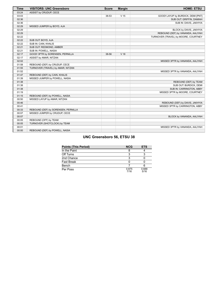| <b>Time</b> | <b>VISITORS: UNC Greensboro</b>     | <b>Score</b> | <b>Margin</b>   | <b>HOME: ETSU</b>                    |
|-------------|-------------------------------------|--------------|-----------------|--------------------------------------|
| 03:24       | ASSIST by CRUDUP, CECE              |              |                 |                                      |
| 03:03       |                                     | 38-53        | V <sub>15</sub> | GOOD! LAYUP by BURDICK, DEMI [PNT]   |
| 02:36       |                                     |              |                 | SUB OUT: GRIFFIN, DAMIAH             |
| 02:36       |                                     |              |                 | SUB IN: DAVIS, JAKHYIA               |
| 02:29       | MISSED JUMPER by BOYD, AJA          |              |                 |                                      |
| 02:29       |                                     |              |                 | BLOCK by DAVIS, JAKHYIA              |
| 02:29       |                                     |              |                 | REBOUND (DEF) by VANANDA, AALIYAH    |
| 02:22       |                                     |              |                 | TURNOVER (TRAVEL) by MOORE, COURTNEY |
| 02:22       | SUB OUT: BOYD, AJA                  |              |                 |                                      |
| 02:22       | SUB IN: CAIN, KHALIS                |              |                 |                                      |
| 02:21       | SUB OUT: REDMOND, AMBER             |              |                 |                                      |
| 02:21       | SUB IN: POWELL, NASIA               |              |                 |                                      |
| 02:17       | GOOD! 3PTR by SORENSEN, PERNILLA    | 38-56        | V 18            |                                      |
| 02:17       | ASSIST by AMAR, NITZAN              |              |                 |                                      |
| 02:02       |                                     |              |                 | MISSED 3PTR by VANANDA, AALIYAH      |
| 01:58       | REBOUND (DEF) by CRUDUP, CECE       |              |                 |                                      |
| 01:55       | TURNOVER (TRAVEL) by AMAR, NITZAN   |              |                 |                                      |
| 01:52       |                                     |              |                 | MISSED 3PTR by VANANDA, AALIYAH      |
| 01:47       | REBOUND (DEF) by CAIN, KHALIS       |              |                 |                                      |
| 01:39       | MISSED JUMPER by POWELL, NASIA      |              |                 |                                      |
| 01:38       |                                     |              |                 | REBOUND (DEF) by TEAM                |
| 01:38       |                                     |              |                 | SUB OUT: BURDICK, DEMI               |
| 01:38       |                                     |              |                 | SUB IN: CARRINGTON, ABBY             |
| 01:19       |                                     |              |                 | MISSED 3PTR by MOORE, COURTNEY       |
| 01:15       | REBOUND (DEF) by POWELL, NASIA      |              |                 |                                      |
| 00:50       | MISSED LAYUP by AMAR, NITZAN        |              |                 |                                      |
| 00:46       |                                     |              |                 | REBOUND (DEF) by DAVIS, JAKHYIA      |
| 00:41       |                                     |              |                 | MISSED 3PTR by CARRINGTON, ABBY      |
| 00:33       | REBOUND (DEF) by SORENSEN, PERNILLA |              |                 |                                      |
| 00:07       | MISSED JUMPER by CRUDUP, CECE       |              |                 |                                      |
| 00:07       |                                     |              |                 | BLOCK by VANANDA, AALIYAH            |
| 00:05       | REBOUND (OFF) by TEAM               |              |                 |                                      |
| 00:05       | TURNOVER (SHOTCLOCK) by TEAM        |              |                 |                                      |
| 00:01       |                                     |              |                 | MISSED 3PTR by VANANDA, AALIYAH      |
| 00:00       | REBOUND (DEF) by POWELL, NASIA      |              |                 |                                      |

# **UNC Greensboro 56, ETSU 38**

| <b>Points (This Period)</b> | <b>NCG</b>    | <b>ETS</b>    |
|-----------------------------|---------------|---------------|
| In the Paint                |               |               |
| Off Turns                   |               |               |
| 2nd Chance                  |               |               |
| <b>Fast Break</b>           |               |               |
| Bench                       |               |               |
| Per Poss                    | 0.875<br>7/16 | 0.688<br>5/16 |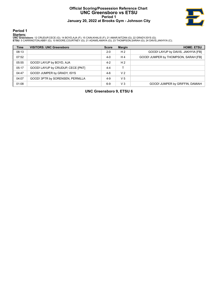# **Official Scoring/Possession Reference Chart UNC Greensboro vs ETSU Period 1 January 20, 2022 at Brooks Gym - Johnson City**



**Period 1**

# **Starters:**

**UNC Greensboro**: 12 CRUDUP,CECE (G); 14 BOYD,AJA (F); 15 CAIN,KHALIS (F); 21 AMAR,NITZAN (G); 22 GRADY,ISYS (G);<br>**ETSU**: 5 CARRINGTON,ABBY (G); 10 MOORE,COURTNEY (G); 21 ADAMS,AMAYA (G); 23 THOMPSON,SARAH (G); 24 DAVIS,JA

| <b>Time</b> | <b>VISITORS: UNC Greensboro</b>   | <b>Score</b> | <b>Margin</b>  | <b>HOME: ETSU</b>                    |
|-------------|-----------------------------------|--------------|----------------|--------------------------------------|
| 08:13       |                                   | $2 - 0$      | H <sub>2</sub> | GOOD! LAYUP by DAVIS, JAKHYIA [FB]   |
| 07:52       |                                   | $4-0$        | H4             | GOOD! JUMPER by THOMPSON, SARAH [FB] |
| 05:55       | GOOD! LAYUP by BOYD, AJA          | $4 - 2$      | H <sub>2</sub> |                                      |
| 05:17       | GOOD! LAYUP by CRUDUP, CECE [PNT] | $4 - 4$      |                |                                      |
| 04:47       | GOOD! JUMPER by GRADY, ISYS       | $4-6$        | V <sub>2</sub> |                                      |
| 04:07       | GOOD! 3PTR by SORENSEN, PERNILLA  | $4-9$        | V <sub>5</sub> |                                      |
| 01:08       |                                   | $6-9$        | $V_3$          | GOOD! JUMPER by GRIFFIN, DAMIAH      |

**UNC Greensboro 9, ETSU 6**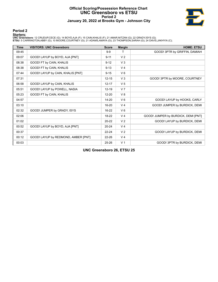# **Official Scoring/Possession Reference Chart UNC Greensboro vs ETSU Period 2 January 20, 2022 at Brooks Gym - Johnson City**



# **Period 2**

# **Starters:**

**UNC Greensboro**: 12 CRUDUP,CECE (G); 14 BOYD,AJA (F); 15 CAIN,KHALIS (F); 21 AMAR,NITZAN (G); 22 GRADY,ISYS (G);<br>**ETSU**: 5 CARRINGTON,ABBY (G); 10 MOORE,COURTNEY (G); 21 ADAMS,AMAYA (G); 23 THOMPSON,SARAH (G); 24 DAVIS,JA

| <b>Time</b> | <b>VISITORS: UNC Greensboro</b>     | <b>Score</b> | <b>Margin</b>  | <b>HOME: ETSU</b>                   |
|-------------|-------------------------------------|--------------|----------------|-------------------------------------|
| 09:45       |                                     | $9 - 9$      |                | GOOD! 3PTR by GRIFFIN, DAMIAH       |
| 09:07       | GOOD! LAYUP by BOYD, AJA [PNT]      | $9 - 11$     | V <sub>2</sub> |                                     |
| 08:38       | GOOD! FT by CAIN, KHALIS            | $9 - 12$     | V <sub>3</sub> |                                     |
| 08:38       | GOOD! FT by CAIN, KHALIS            | $9 - 13$     | V <sub>4</sub> |                                     |
| 07:44       | GOOD! LAYUP by CAIN, KHALIS [PNT]   | $9 - 15$     | $V_6$          |                                     |
| 07:31       |                                     | $12 - 15$    | V <sub>3</sub> | GOOD! 3PTR by MOORE, COURTNEY       |
| 06:58       | GOOD! LAYUP by CAIN, KHALIS         | $12 - 17$    | V <sub>5</sub> |                                     |
| 05:51       | GOOD! LAYUP by POWELL, NASIA        | $12 - 19$    | V <sub>7</sub> |                                     |
| 05:23       | GOOD! FT by CAIN, KHALIS            | $12 - 20$    | V8             |                                     |
| 04:57       |                                     | $14 - 20$    | $V_6$          | GOOD! LAYUP by HOOKS, CARLY         |
| 03:10       |                                     | 16-20        | V <sub>4</sub> | GOOD! JUMPER by BURDICK, DEMI       |
| 02:32       | GOOD! JUMPER by GRADY, ISYS         | $16 - 22$    | $V_6$          |                                     |
| 02:06       |                                     | 18-22        | V <sub>4</sub> | GOOD! JUMPER by BURDICK, DEMI [PNT] |
| 01:02       |                                     | 20-22        | V <sub>2</sub> | GOOD! LAYUP by BURDICK, DEMI        |
| 00:52       | GOOD! LAYUP by BOYD, AJA [PNT]      | $20 - 24$    | V <sub>4</sub> |                                     |
| 00:37       |                                     | $22 - 24$    | V <sub>2</sub> | GOOD! LAYUP by BURDICK, DEMI        |
| 00:12       | GOOD! LAYUP by REDMOND, AMBER [PNT] | 22-26        | V <sub>4</sub> |                                     |
| 00:03       |                                     | 25-26        | V <sub>1</sub> | GOOD! 3PTR by BURDICK, DEMI         |

**UNC Greensboro 26, ETSU 25**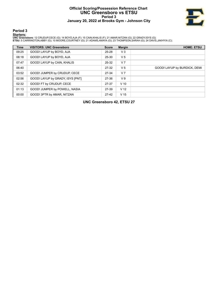# **Official Scoring/Possession Reference Chart UNC Greensboro vs ETSU Period 3 January 20, 2022 at Brooks Gym - Johnson City**



**Period 3**

# **Starters:**

**UNC Greensboro**: 12 CRUDUP,CECE (G); 14 BOYD,AJA (F); 15 CAIN,KHALIS (F); 21 AMAR,NITZAN (G); 22 GRADY,ISYS (G);<br>**ETSU**: 5 CARRINGTON,ABBY (G); 10 MOORE,COURTNEY (G); 21 ADAMS,AMAYA (G); 23 THOMPSON,SARAH (G); 24 DAVIS,JA

| <b>Time</b> | <b>VISITORS: UNC Greensboro</b>  | <b>Score</b> | <b>Margin</b>   | <b>HOME: ETSU</b>            |
|-------------|----------------------------------|--------------|-----------------|------------------------------|
| 09:25       | GOOD! LAYUP by BOYD, AJA         | $25 - 28$    | V3              |                              |
| 08:18       | GOOD! LAYUP by BOYD, AJA         | 25-30        | V <sub>5</sub>  |                              |
| 07:47       | GOOD! LAYUP by CAIN, KHALIS      | 25-32        | V <sub>7</sub>  |                              |
| 06:40       |                                  | 27-32        | V <sub>5</sub>  | GOOD! LAYUP by BURDICK, DEMI |
| 03:52       | GOOD! JUMPER by CRUDUP, CECE     | 27-34        | V <sub>7</sub>  |                              |
| 02:56       | GOOD! LAYUP by GRADY, ISYS [PNT] | 27-36        | V <sub>9</sub>  |                              |
| 02:32       | GOOD! FT by CRUDUP, CECE         | 27-37        | $V$ 10          |                              |
| 01:13       | GOOD! JUMPER by POWELL, NASIA    | 27-39        | V <sub>12</sub> |                              |
| 00:00       | GOOD! 3PTR by AMAR, NITZAN       | $27-42$      | V <sub>15</sub> |                              |

**UNC Greensboro 42, ETSU 27**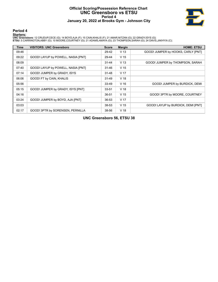# **Official Scoring/Possession Reference Chart UNC Greensboro vs ETSU Period 4 January 20, 2022 at Brooks Gym - Johnson City**



**Period 4**

# **Starters:**

**UNC Greensboro**: 12 CRUDUP,CECE (G); 14 BOYD,AJA (F); 15 CAIN,KHALIS (F); 21 AMAR,NITZAN (G); 22 GRADY,ISYS (G);<br>**ETSU**: 5 CARRINGTON,ABBY (G); 10 MOORE,COURTNEY (G); 21 ADAMS,AMAYA (G); 23 THOMPSON,SARAH (G); 24 DAVIS,JA

| Time  | <b>VISITORS: UNC Greensboro</b>    | <b>Score</b> | <b>Margin</b>   | <b>HOME: ETSU</b>                  |
|-------|------------------------------------|--------------|-----------------|------------------------------------|
| 09:46 |                                    | 29-42        | V <sub>13</sub> | GOOD! JUMPER by HOOKS, CARLY [PNT] |
| 09:22 | GOOD! LAYUP by POWELL, NASIA [PNT] | 29-44        | V <sub>15</sub> |                                    |
| 08:09 |                                    | $31 - 44$    | V <sub>13</sub> | GOOD! JUMPER by THOMPSON, SARAH    |
| 07:40 | GOOD! LAYUP by POWELL, NASIA [PNT] | $31 - 46$    | V <sub>15</sub> |                                    |
| 07:14 | GOOD! JUMPER by GRADY, ISYS        | $31 - 48$    | V <sub>17</sub> |                                    |
| 06:06 | GOOD! FT by CAIN, KHALIS           | $31 - 49$    | V <sub>18</sub> |                                    |
| 05:56 |                                    | 33-49        | V <sub>16</sub> | GOOD! JUMPER by BURDICK, DEMI      |
| 05:15 | GOOD! JUMPER by GRADY, ISYS [PNT]  | $33 - 51$    | V <sub>18</sub> |                                    |
| 04:16 |                                    | 36-51        | V <sub>15</sub> | GOOD! 3PTR by MOORE, COURTNEY      |
| 03:24 | GOOD! JUMPER by BOYD, AJA [PNT]    | 36-53        | V <sub>17</sub> |                                    |
| 03:03 |                                    | 38-53        | V <sub>15</sub> | GOOD! LAYUP by BURDICK, DEMI [PNT] |
| 02:17 | GOOD! 3PTR by SORENSEN, PERNILLA   | 38-56        | V <sub>18</sub> |                                    |

**UNC Greensboro 56, ETSU 38**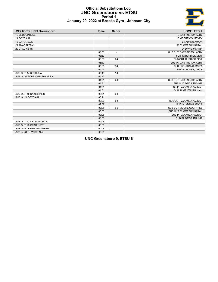# E

# **Official Substitutions Log UNC Greensboro vs ETSU Period 1 January 20, 2022 at Brooks Gym - Johnson City**

| <b>VISITORS: UNC Greensboro</b> | <b>Time</b> | <b>Score</b>             | <b>HOME: ETSU</b>         |
|---------------------------------|-------------|--------------------------|---------------------------|
| 12 CRUDUP.CECE                  |             |                          | 5 CARRINGTON, ABBY        |
| 14 BOYD, AJA                    |             |                          | 10 MOORE, COURTNEY        |
| 15 CAIN, KHALIS                 |             |                          | 21 ADAMS, AMAYA           |
| 21 AMAR, NITZAN                 |             |                          | 23 THOMPSON, SARAH        |
| 22 GRADY, ISYS                  |             |                          | 24 DAVIS, JAKHYIA         |
|                                 | 08:53       | $\overline{\phantom{a}}$ | SUB OUT: CARRINGTON, ABBY |
|                                 | 08:53       |                          | SUB IN: BURDICK, DEMI     |
|                                 | 06:33       | $0 - 4$                  | SUB OUT: BURDICK, DEMI    |
|                                 | 06:33       |                          | SUB IN: CARRINGTON, ABBY  |
|                                 | 05:55       | $2 - 4$                  | SUB OUT: ADAMS, AMAYA     |
|                                 | 05:55       |                          | SUB IN: HOOKS, CARLY      |
| SUB OUT: 14 BOYD, AJA           | 05:43       | $2 - 4$                  |                           |
| SUB IN: 33 SORENSEN, PERNILLA   | 05:43       |                          |                           |
|                                 | 04:31       | $6 - 4$                  | SUB OUT: CARRINGTON, ABBY |
|                                 | 04:31       |                          | SUB OUT: DAVIS, JAKHYIA   |
|                                 | 04:31       |                          | SUB IN: VANANDA, AALIYAH  |
|                                 | 04:31       |                          | SUB IN: GRIFFIN, DAMIAH   |
| SUB OUT: 15 CAIN, KHALIS        | 03:21       | $9 - 4$                  |                           |
| SUB IN: 14 BOYD, AJA            | 03:21       |                          |                           |
|                                 | 02:39       | $9 - 4$                  | SUB OUT: VANANDA, AALIYAH |
|                                 | 02:39       |                          | SUB IN: ADAMS, AMAYA      |
|                                 | 00:08       | $9-6$                    | SUB OUT: MOORE, COURTNEY  |
|                                 | 00:08       |                          | SUB OUT: THOMPSON, SARAH  |
|                                 | 00:08       |                          | SUB IN: VANANDA, AALIYAH  |
|                                 | 00:08       |                          | SUB IN: DAVIS, JAKHYIA    |
| SUB OUT: 12 CRUDUP, CECE        | 00:08       |                          |                           |
| SUB OUT: 22 GRADY, ISYS         | 00:08       |                          |                           |
| SUB IN: 20 REDMOND, AMBER       | 00:08       |                          |                           |
| SUB IN: 44 HOWARD, NIA          | 00:08       |                          |                           |

**UNC Greensboro 9, ETSU 6**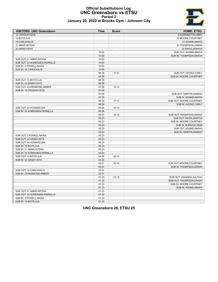# E

# **Official Substitutions Log UNC Greensboro vs ETSU Period 2 January 20, 2022 at Brooks Gym - Johnson City**

| <b>VISITORS: UNC Greensboro</b> | Time  | <b>Score</b>   | <b>HOME: ETSU</b>         |
|---------------------------------|-------|----------------|---------------------------|
| 12 CRUDUP,CECE                  |       |                | 5 CARRINGTON, ABBY        |
| 14 BOYD, AJA                    |       |                | 10 MOORE, COURTNEY        |
| 15 CAIN, KHALIS                 |       |                | 21 ADAMS, AMAYA           |
| 21 AMAR, NITZAN                 |       |                | 23 THOMPSON, SARAH        |
| 22 GRADY, ISYS                  |       |                | 24 DAVIS, JAKHYIA         |
|                                 | 10:00 | $\overline{a}$ | SUB OUT: ADAMS, AMAYA     |
|                                 | 10:00 |                | SUB IN: THOMPSON, SARAH   |
| SUB OUT: 21 AMAR, NITZAN        | 10:00 |                |                           |
| SUB OUT: 33 SORENSEN, PERNILLA  | 10:00 |                |                           |
| SUB IN: 3 POWELL, NASIA         | 10:00 |                |                           |
| SUB IN: 15 CAIN, KHALIS         | 10:00 |                |                           |
|                                 | 08:38 | $11-9$         | SUB OUT: HOOKS, CARLY     |
|                                 | 08:38 |                | SUB IN: MOORE, COURTNEY   |
| SUB OUT: 14 BOYD, AJA           | 08:38 |                |                           |
| SUB IN: 22 GRADY, ISYS          | 08:38 |                |                           |
| SUB OUT: 20 REDMOND, AMBER      | 07:05 | $15 - 12$      |                           |
| SUB IN: 12 CRUDUP.CECE          | 07:05 |                |                           |
|                                 | 07:05 |                | SUB OUT: GRIFFIN, DAMIAH  |
|                                 | 07:05 |                | SUB IN: ADAMS, AMAYA      |
|                                 | 06:58 | $17 - 12$      | SUB OUT: MOORE, COURTNEY  |
|                                 | 06:58 |                | SUB IN: HOOKS, CARLY      |
| SUB OUT: 44 HOWARD, NIA         | 05:26 | 19-12          |                           |
| SUB IN: 33 SORENSEN, PERNILLA   | 05:26 |                |                           |
|                                 | 05:23 | 19-12          | SUB OUT: THOMPSON, SARAH  |
|                                 | 05:23 |                | SUB OUT: DAVIS, JAKHYIA   |
|                                 | 05:23 |                | SUB IN: MOORE, COURTNEY   |
|                                 | 05:23 |                | SUB IN: BURDICK, DEMI     |
|                                 | 05:23 |                | SUB OUT: ADAMS, AMAYA     |
|                                 | 05:23 |                | SUB IN: GRIFFIN, DAMIAH   |
| SUB OUT: 3 POWELL, NASIA        | 05:23 |                |                           |
| SUB OUT: 22 GRADY, ISYS         | 05:23 |                |                           |
| SUB OUT: 44 HOWARD, NIA         | 05:23 |                |                           |
| SUB IN: 14 BOYD, AJA            | 05:23 |                |                           |
| SUB IN: 21 AMAR, NITZAN         | 05:23 |                |                           |
| SUB IN: 33 SORENSEN, PERNILLA   | 05:23 |                |                           |
| SUB OUT: 14 BOYD, AJA           | 04:26 | $20 - 14$      |                           |
| SUB IN: 22 GRADY, ISYS          | 04:26 |                |                           |
|                                 | 02:51 | $20 - 16$      | SUB OUT: MOORE, COURTNEY  |
|                                 | 02:51 |                | SUB IN: THOMPSON, SARAH   |
| SUB OUT: 15 CAIN, KHALIS        | 02:51 |                |                           |
| SUB IN: 20 REDMOND, AMBER       | 02:51 |                |                           |
|                                 | 01:33 | $22 - 18$      | SUB OUT: VANANDA, AALIYAH |
|                                 | 01:33 |                | SUB OUT: THOMPSON, SARAH  |
|                                 | 01:33 |                | SUB IN: MOORE, COURTNEY   |
|                                 | 01:33 |                | SUB IN: ADAMS, AMAYA      |
| SUB OUT: 21 AMAR, NITZAN        | 01:33 |                |                           |
| SUB OUT: 33 SORENSEN, PERNILLA  | 01:33 |                |                           |
| SUB IN: 3 POWELL, NASIA         | 01:33 |                |                           |
| SUB IN: 14 BOYD, AJA            | 01:33 |                |                           |

**UNC Greensboro 26, ETSU 25**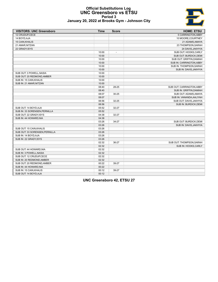# **Official Substitutions Log UNC Greensboro vs ETSU Period 3 January 20, 2022 at Brooks Gym - Johnson City**



| <b>VISITORS: UNC Greensboro</b> | <b>Time</b> | <b>Score</b> | <b>HOME: ETSU</b>         |
|---------------------------------|-------------|--------------|---------------------------|
| 12 CRUDUP, CECE                 |             |              | 5 CARRINGTON, ABBY        |
| 14 BOYD, AJA                    |             |              | 10 MOORE, COURTNEY        |
| <b>15 CAIN, KHALIS</b>          |             |              | 21 ADAMS, AMAYA           |
| 21 AMAR, NITZAN                 |             |              | 23 THOMPSON, SARAH        |
| 22 GRADY, ISYS                  |             |              | 24 DAVIS, JAKHYIA         |
|                                 | 10:00       |              | SUB OUT: HOOKS, CARLY     |
|                                 | 10:00       |              | SUB OUT: BURDICK, DEMI    |
|                                 | 10:00       |              | SUB OUT: GRIFFIN, DAMIAH  |
|                                 | 10:00       |              | SUB IN: CARRINGTON, ABBY  |
|                                 | 10:00       |              | SUB IN: THOMPSON, SARAH   |
|                                 | 10:00       |              | SUB IN: DAVIS, JAKHYIA    |
| SUB OUT: 3 POWELL, NASIA        | 10:00       |              |                           |
| SUB OUT: 20 REDMOND, AMBER      | 10:00       |              |                           |
| SUB IN: 15 CAIN, KHALIS         | 10:00       |              |                           |
| SUB IN: 21 AMAR, NITZAN         | 10:00       |              |                           |
|                                 | 08:40       | 28-25        | SUB OUT: CARRINGTON, ABBY |
|                                 | 08:40       |              | SUB IN: GRIFFIN, DAMIAH   |
|                                 | 08:07       | $30 - 25$    | SUB OUT: ADAMS, AMAYA     |
|                                 | 08:07       |              | SUB IN: VANANDA, AALIYAH  |
|                                 | 06:56       | 32-25        | SUB OUT: DAVIS, JAKHYIA   |
|                                 | 06:56       |              | SUB IN: BURDICK, DEMI     |
| SUB OUT: 14 BOYD, AJA           | 05:52       | 32-27        |                           |
| SUB IN: 33 SORENSEN, PERNILLA   | 05:52       |              |                           |
| SUB OUT: 22 GRADY, ISYS         | 04:38       | $32 - 27$    |                           |
| SUB IN: 44 HOWARD, NIA          | 04:38       |              |                           |
|                                 | 03:26       | 34-27        | SUB OUT: BURDICK, DEMI    |
|                                 | 03:26       |              | SUB IN: DAVIS, JAKHYIA    |
| SUB OUT: 15 CAIN, KHALIS        | 03:26       |              |                           |
| SUB OUT: 33 SORENSEN, PERNILLA  | 03:26       |              |                           |
| SUB IN: 14 BOYD, AJA            | 03:26       |              |                           |
| SUB IN: 22 GRADY, ISYS          | 03:26       |              |                           |
|                                 | 02:32       | 36-27        | SUB OUT: THOMPSON, SARAH  |
|                                 | 02:32       |              | SUB IN: HOOKS, CARLY      |
| SUB OUT: 44 HOWARD, NIA         | 02:32       |              |                           |
| SUB IN: 3 POWELL, NASIA         | 02:32       |              |                           |
| SUB OUT: 12 CRUDUP, CECE        | 02:32       |              |                           |
| SUB IN: 20 REDMOND, AMBER       | 02:32       |              |                           |
| SUB OUT: 20 REDMOND, AMBER      | 00:22       | 39-27        |                           |
| SUB IN: 44 HOWARD, NIA          | 00:22       |              |                           |
| SUB IN: 15 CAIN, KHALIS         | 00:12       | 39-27        |                           |
| SUB OUT: 14 BOYD, AJA           | 00:12       |              |                           |

**UNC Greensboro 42, ETSU 27**